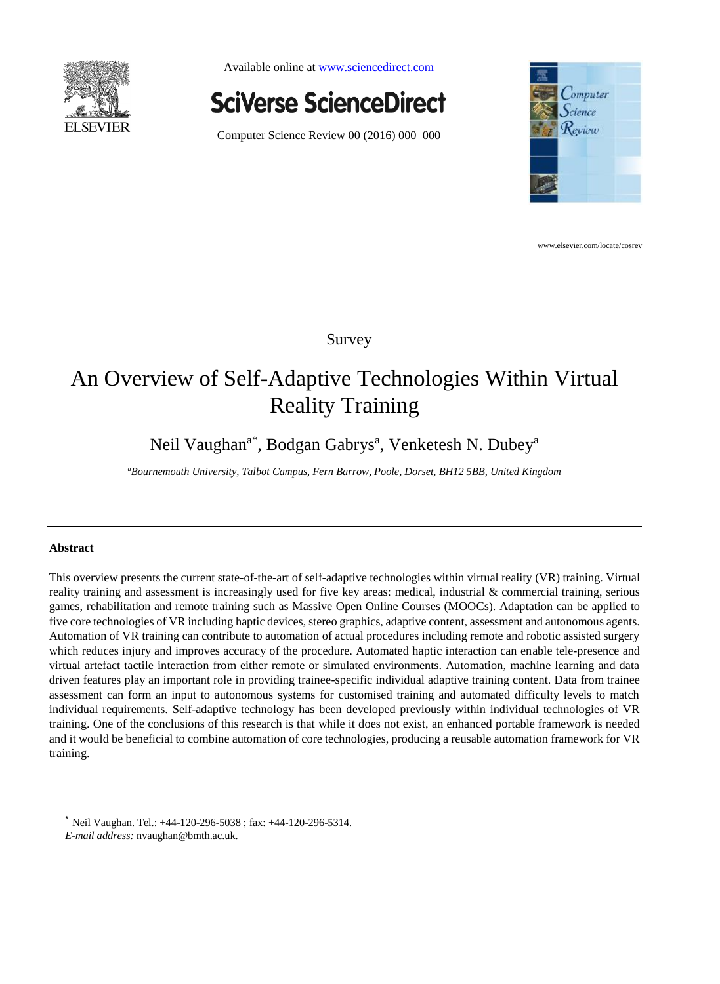

Available online a[t www.sciencedirect.com](http://www.sciencedirect.com/)



Computer Science Review 00 (2016) 000–000



www.elsevier.com/locate/cosrev

# Survey

# An Overview of Self-Adaptive Technologies Within Virtual Reality Training

Neil Vaughan<sup>a\*</sup>, Bodgan Gabrys<sup>a</sup>, Venketesh N. Dubey<sup>a</sup>

*<sup>a</sup>Bournemouth University, Talbot Campus, Fern Barrow, Poole, Dorset, BH12 5BB, United Kingdom*

# **Abstract**

This overview presents the current state-of-the-art of self-adaptive technologies within virtual reality (VR) training. Virtual reality training and assessment is increasingly used for five key areas: medical, industrial & commercial training, serious games, rehabilitation and remote training such as Massive Open Online Courses (MOOCs). Adaptation can be applied to five core technologies of VR including haptic devices, stereo graphics, adaptive content, assessment and autonomous agents. Automation of VR training can contribute to automation of actual procedures including remote and robotic assisted surgery which reduces injury and improves accuracy of the procedure. Automated haptic interaction can enable tele-presence and virtual artefact tactile interaction from either remote or simulated environments. Automation, machine learning and data driven features play an important role in providing trainee-specific individual adaptive training content. Data from trainee assessment can form an input to autonomous systems for customised training and automated difficulty levels to match individual requirements. Self-adaptive technology has been developed previously within individual technologies of VR training. One of the conclusions of this research is that while it does not exist, an enhanced portable framework is needed and it would be beneficial to combine automation of core technologies, producing a reusable automation framework for VR training.

 $*$  Neil Vaughan. Tel.:  $+44-120-296-5038$ ; fax:  $+44-120-296-5314$ . *E-mail address:* nvaughan@bmth.ac.uk.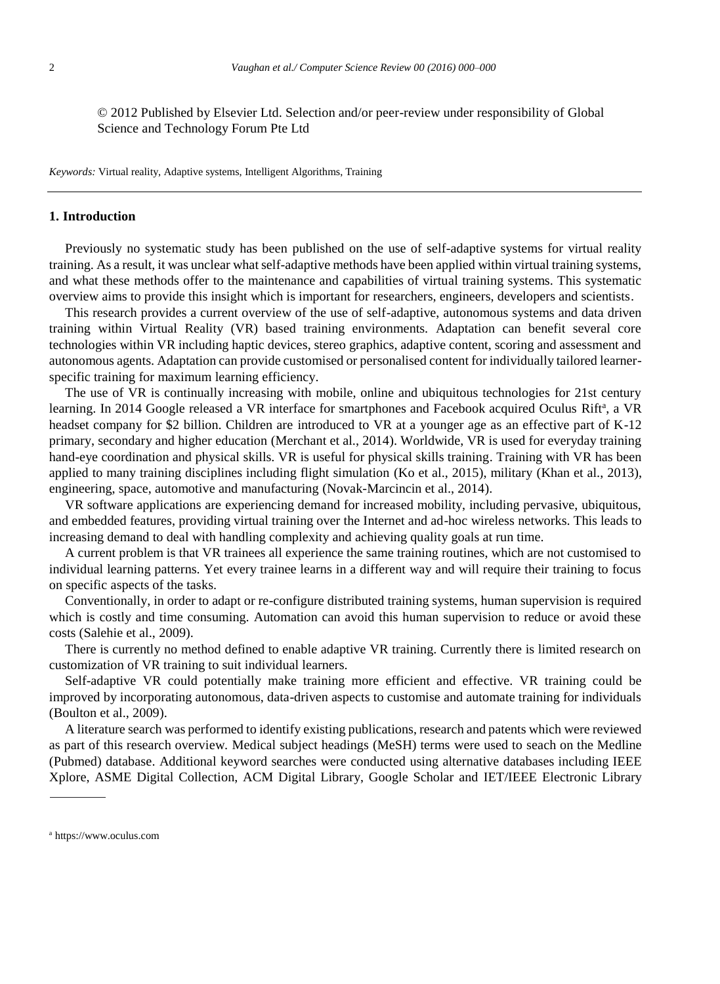© 2012 Published by Elsevier Ltd. Selection and/or peer-review under responsibility of Global Science and Technology Forum Pte Ltd

*Keywords:* Virtual reality, Adaptive systems, Intelligent Algorithms, Training

## **1. Introduction**

Previously no systematic study has been published on the use of self-adaptive systems for virtual reality training. As a result, it was unclear what self-adaptive methods have been applied within virtual training systems, and what these methods offer to the maintenance and capabilities of virtual training systems. This systematic overview aims to provide this insight which is important for researchers, engineers, developers and scientists.

This research provides a current overview of the use of self-adaptive, autonomous systems and data driven training within Virtual Reality (VR) based training environments. Adaptation can benefit several core technologies within VR including haptic devices, stereo graphics, adaptive content, scoring and assessment and autonomous agents. Adaptation can provide customised or personalised content for individually tailored learnerspecific training for maximum learning efficiency.

The use of VR is continually increasing with mobile, online and ubiquitous technologies for 21st century learning. In 2014 Google released a VR interface for smartphones and Facebook acquired Oculus Rift<sup>a</sup>, a VR headset company for \$2 billion. Children are introduced to VR at a younger age as an effective part of K-12 primary, secondary and higher education (Merchant et al., 2014). Worldwide, VR is used for everyday training hand-eye coordination and physical skills. VR is useful for physical skills training. Training with VR has been applied to many training disciplines including flight simulation (Ko et al., 2015), military (Khan et al., 2013), engineering, space, automotive and manufacturing (Novak-Marcincin et al., 2014).

VR software applications are experiencing demand for increased mobility, including pervasive, ubiquitous, and embedded features, providing virtual training over the Internet and ad-hoc wireless networks. This leads to increasing demand to deal with handling complexity and achieving quality goals at run time.

A current problem is that VR trainees all experience the same training routines, which are not customised to individual learning patterns. Yet every trainee learns in a different way and will require their training to focus on specific aspects of the tasks.

Conventionally, in order to adapt or re-configure distributed training systems, human supervision is required which is costly and time consuming. Automation can avoid this human supervision to reduce or avoid these costs (Salehie et al., 2009).

There is currently no method defined to enable adaptive VR training. Currently there is limited research on customization of VR training to suit individual learners.

Self-adaptive VR could potentially make training more efficient and effective. VR training could be improved by incorporating autonomous, data-driven aspects to customise and automate training for individuals (Boulton et al., 2009).

A literature search was performed to identify existing publications, research and patents which were reviewed as part of this research overview. Medical subject headings (MeSH) terms were used to seach on the Medline (Pubmed) database. Additional keyword searches were conducted using alternative databases including IEEE Xplore, ASME Digital Collection, ACM Digital Library, Google Scholar and IET/IEEE Electronic Library

<sup>a</sup> https://www.oculus.com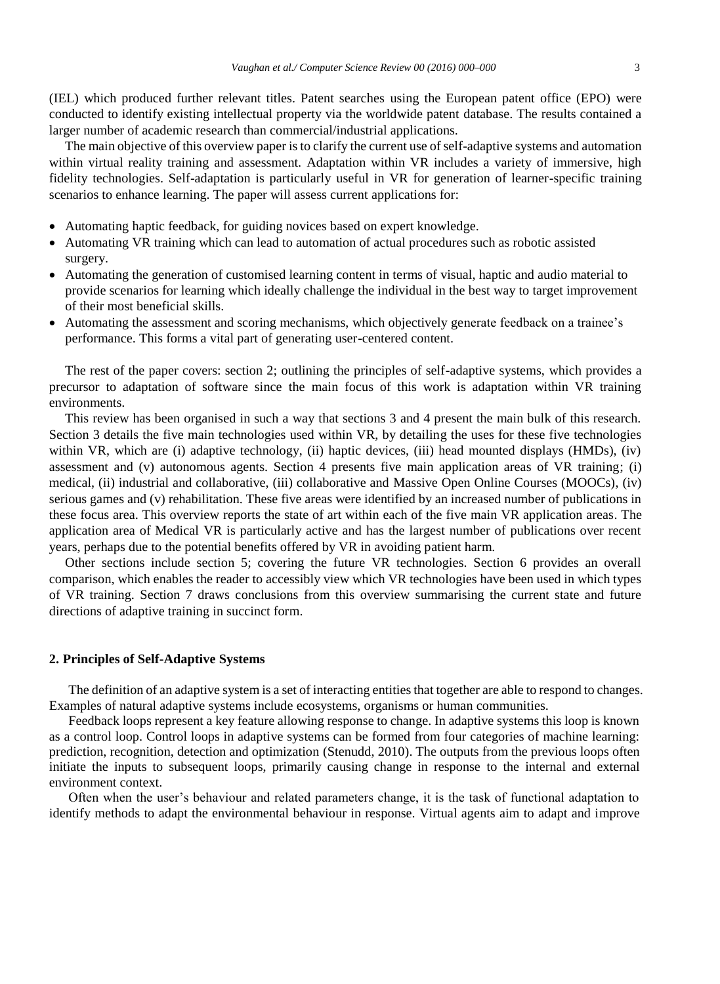(IEL) which produced further relevant titles. Patent searches using the European patent office (EPO) were conducted to identify existing intellectual property via the worldwide patent database. The results contained a larger number of academic research than commercial/industrial applications.

The main objective of this overview paper is to clarify the current use of self-adaptive systems and automation within virtual reality training and assessment. Adaptation within VR includes a variety of immersive, high fidelity technologies. Self-adaptation is particularly useful in VR for generation of learner-specific training scenarios to enhance learning. The paper will assess current applications for:

- Automating haptic feedback, for guiding novices based on expert knowledge.
- Automating VR training which can lead to automation of actual procedures such as robotic assisted surgery.
- Automating the generation of customised learning content in terms of visual, haptic and audio material to provide scenarios for learning which ideally challenge the individual in the best way to target improvement of their most beneficial skills.
- Automating the assessment and scoring mechanisms, which objectively generate feedback on a trainee's performance. This forms a vital part of generating user-centered content.

The rest of the paper covers: section 2; outlining the principles of self-adaptive systems, which provides a precursor to adaptation of software since the main focus of this work is adaptation within VR training environments.

This review has been organised in such a way that sections 3 and 4 present the main bulk of this research. Section 3 details the five main technologies used within VR, by detailing the uses for these five technologies within VR, which are (i) adaptive technology, (ii) haptic devices, (iii) head mounted displays (HMDs), (iv) assessment and (v) autonomous agents. Section 4 presents five main application areas of VR training; (i) medical, (ii) industrial and collaborative, (iii) collaborative and Massive Open Online Courses (MOOCs), (iv) serious games and (v) rehabilitation. These five areas were identified by an increased number of publications in these focus area. This overview reports the state of art within each of the five main VR application areas. The application area of Medical VR is particularly active and has the largest number of publications over recent years, perhaps due to the potential benefits offered by VR in avoiding patient harm.

Other sections include section 5; covering the future VR technologies. Section 6 provides an overall comparison, which enables the reader to accessibly view which VR technologies have been used in which types of VR training. Section 7 draws conclusions from this overview summarising the current state and future directions of adaptive training in succinct form.

## **2. Principles of Self-Adaptive Systems**

The definition of an adaptive system is a set of interacting entities that together are able to respond to changes. Examples of natural adaptive systems include ecosystems, organisms or human communities.

Feedback loops represent a key feature allowing response to change. In adaptive systems this loop is known as a control loop. Control loops in adaptive systems can be formed from four categories of machine learning: prediction, recognition, detection and optimization (Stenudd, 2010). The outputs from the previous loops often initiate the inputs to subsequent loops, primarily causing change in response to the internal and external environment context.

Often when the user's behaviour and related parameters change, it is the task of functional adaptation to identify methods to adapt the environmental behaviour in response. Virtual agents aim to adapt and improve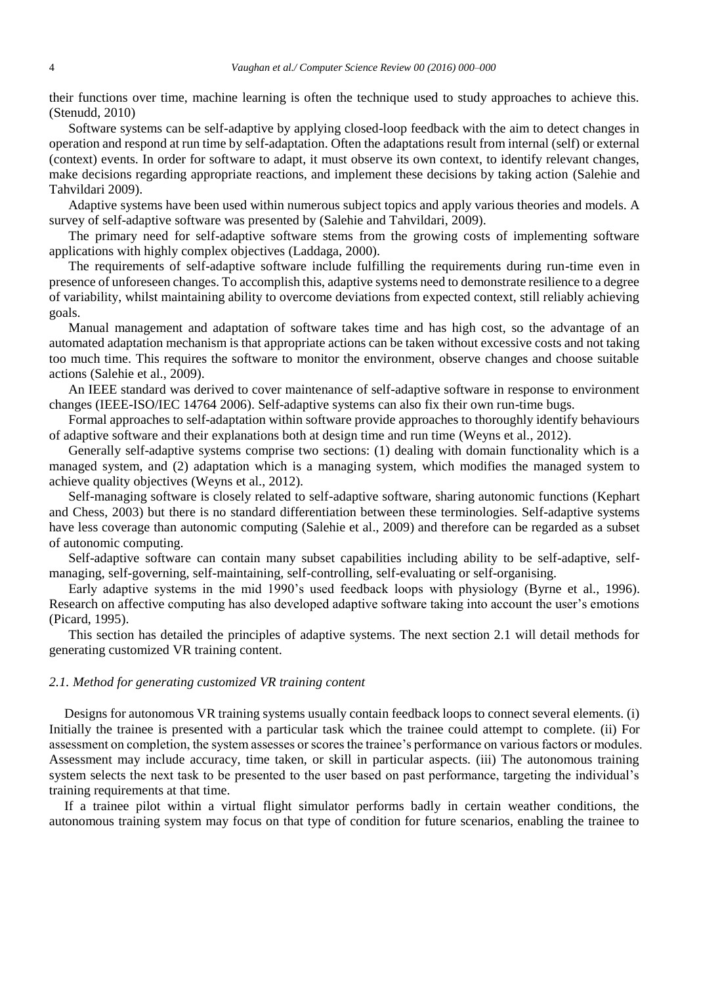their functions over time, machine learning is often the technique used to study approaches to achieve this. (Stenudd, 2010)

Software systems can be self-adaptive by applying closed-loop feedback with the aim to detect changes in operation and respond at run time by self-adaptation. Often the adaptations result from internal (self) or external (context) events. In order for software to adapt, it must observe its own context, to identify relevant changes, make decisions regarding appropriate reactions, and implement these decisions by taking action (Salehie and Tahvildari 2009).

Adaptive systems have been used within numerous subject topics and apply various theories and models. A survey of self-adaptive software was presented by (Salehie and Tahvildari, 2009).

The primary need for self-adaptive software stems from the growing costs of implementing software applications with highly complex objectives (Laddaga, 2000).

The requirements of self-adaptive software include fulfilling the requirements during run-time even in presence of unforeseen changes. To accomplish this, adaptive systems need to demonstrate resilience to a degree of variability, whilst maintaining ability to overcome deviations from expected context, still reliably achieving goals.

Manual management and adaptation of software takes time and has high cost, so the advantage of an automated adaptation mechanism is that appropriate actions can be taken without excessive costs and not taking too much time. This requires the software to monitor the environment, observe changes and choose suitable actions (Salehie et al., 2009).

An IEEE standard was derived to cover maintenance of self-adaptive software in response to environment changes (IEEE-ISO/IEC 14764 2006). Self-adaptive systems can also fix their own run-time bugs.

Formal approaches to self-adaptation within software provide approaches to thoroughly identify behaviours of adaptive software and their explanations both at design time and run time (Weyns et al., 2012).

Generally self-adaptive systems comprise two sections: (1) dealing with domain functionality which is a managed system, and (2) adaptation which is a managing system, which modifies the managed system to achieve quality objectives (Weyns et al., 2012).

Self-managing software is closely related to self-adaptive software, sharing autonomic functions (Kephart and Chess, 2003) but there is no standard differentiation between these terminologies. Self-adaptive systems have less coverage than autonomic computing (Salehie et al., 2009) and therefore can be regarded as a subset of autonomic computing.

Self-adaptive software can contain many subset capabilities including ability to be self-adaptive, selfmanaging, self-governing, self-maintaining, self-controlling, self-evaluating or self-organising.

Early adaptive systems in the mid 1990's used feedback loops with physiology (Byrne et al., 1996). Research on affective computing has also developed adaptive software taking into account the user's emotions (Picard, 1995).

This section has detailed the principles of adaptive systems. The next section 2.1 will detail methods for generating customized VR training content.

# *2.1. Method for generating customized VR training content*

Designs for autonomous VR training systems usually contain feedback loops to connect several elements. (i) Initially the trainee is presented with a particular task which the trainee could attempt to complete. (ii) For assessment on completion, the system assesses or scores the trainee's performance on various factors or modules. Assessment may include accuracy, time taken, or skill in particular aspects. (iii) The autonomous training system selects the next task to be presented to the user based on past performance, targeting the individual's training requirements at that time.

If a trainee pilot within a virtual flight simulator performs badly in certain weather conditions, the autonomous training system may focus on that type of condition for future scenarios, enabling the trainee to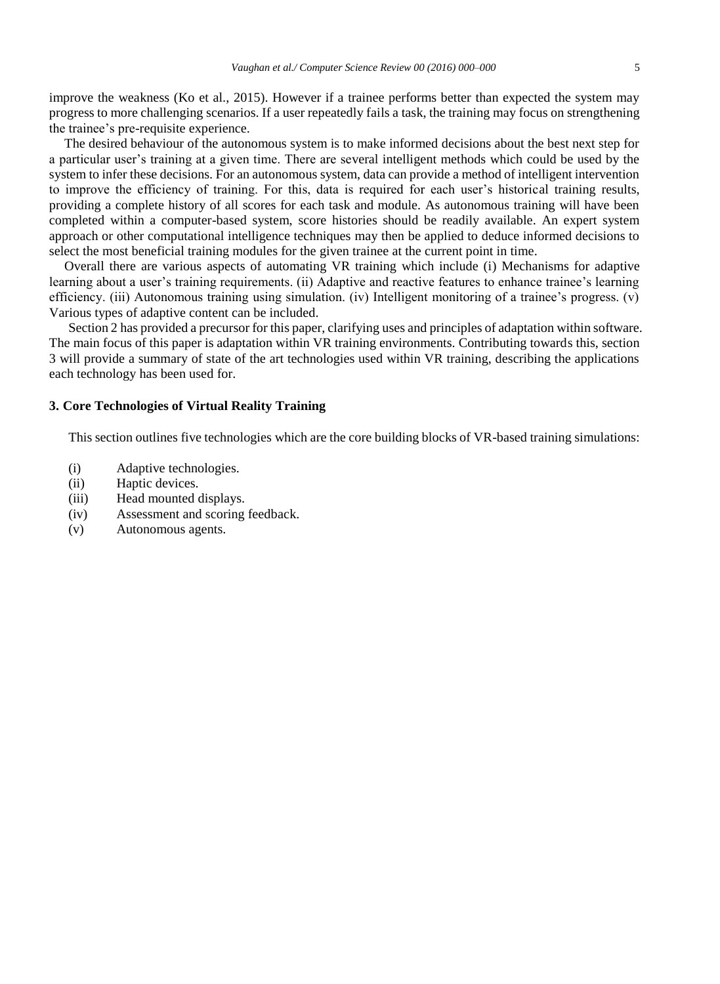improve the weakness (Ko et al., 2015). However if a trainee performs better than expected the system may progress to more challenging scenarios. If a user repeatedly fails a task, the training may focus on strengthening the trainee's pre-requisite experience.

The desired behaviour of the autonomous system is to make informed decisions about the best next step for a particular user's training at a given time. There are several intelligent methods which could be used by the system to infer these decisions. For an autonomous system, data can provide a method of intelligent intervention to improve the efficiency of training. For this, data is required for each user's historical training results, providing a complete history of all scores for each task and module. As autonomous training will have been completed within a computer-based system, score histories should be readily available. An expert system approach or other computational intelligence techniques may then be applied to deduce informed decisions to select the most beneficial training modules for the given trainee at the current point in time.

Overall there are various aspects of automating VR training which include (i) Mechanisms for adaptive learning about a user's training requirements. (ii) Adaptive and reactive features to enhance trainee's learning efficiency. (iii) Autonomous training using simulation. (iv) Intelligent monitoring of a trainee's progress. (v) Various types of adaptive content can be included.

Section 2 has provided a precursor for this paper, clarifying uses and principles of adaptation within software. The main focus of this paper is adaptation within VR training environments. Contributing towards this, section 3 will provide a summary of state of the art technologies used within VR training, describing the applications each technology has been used for.

# **3. Core Technologies of Virtual Reality Training**

This section outlines five technologies which are the core building blocks of VR-based training simulations:

- (i) Adaptive technologies.
- (ii) Haptic devices.
- (iii) Head mounted displays.
- (iv) Assessment and scoring feedback.
- (v) Autonomous agents.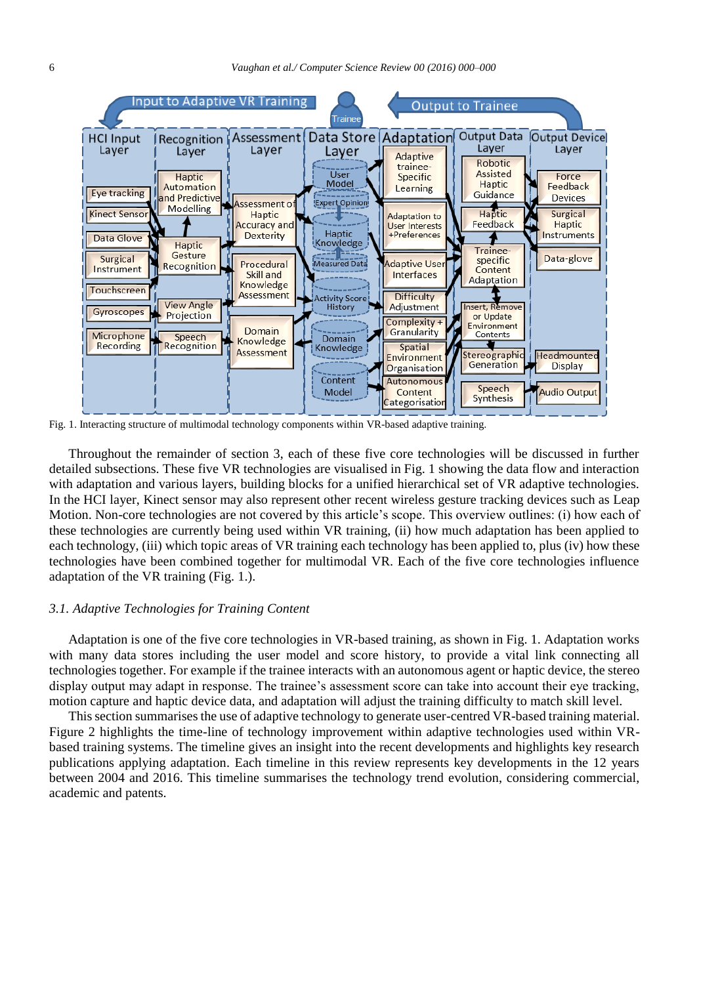

Fig. 1. Interacting structure of multimodal technology components within VR-based adaptive training.

Throughout the remainder of section 3, each of these five core technologies will be discussed in further detailed subsections. These five VR technologies are visualised in Fig. 1 showing the data flow and interaction with adaptation and various layers, building blocks for a unified hierarchical set of VR adaptive technologies. In the HCI layer, Kinect sensor may also represent other recent wireless gesture tracking devices such as Leap Motion. Non-core technologies are not covered by this article's scope. This overview outlines: (i) how each of these technologies are currently being used within VR training, (ii) how much adaptation has been applied to each technology, (iii) which topic areas of VR training each technology has been applied to, plus (iv) how these technologies have been combined together for multimodal VR. Each of the five core technologies influence adaptation of the VR training (Fig. 1.).

## *3.1. Adaptive Technologies for Training Content*

Adaptation is one of the five core technologies in VR-based training, as shown in Fig. 1. Adaptation works with many data stores including the user model and score history, to provide a vital link connecting all technologies together. For example if the trainee interacts with an autonomous agent or haptic device, the stereo display output may adapt in response. The trainee's assessment score can take into account their eye tracking, motion capture and haptic device data, and adaptation will adjust the training difficulty to match skill level.

This section summarises the use of adaptive technology to generate user-centred VR-based training material. Figure 2 highlights the time-line of technology improvement within adaptive technologies used within VRbased training systems. The timeline gives an insight into the recent developments and highlights key research publications applying adaptation. Each timeline in this review represents key developments in the 12 years between 2004 and 2016. This timeline summarises the technology trend evolution, considering commercial, academic and patents.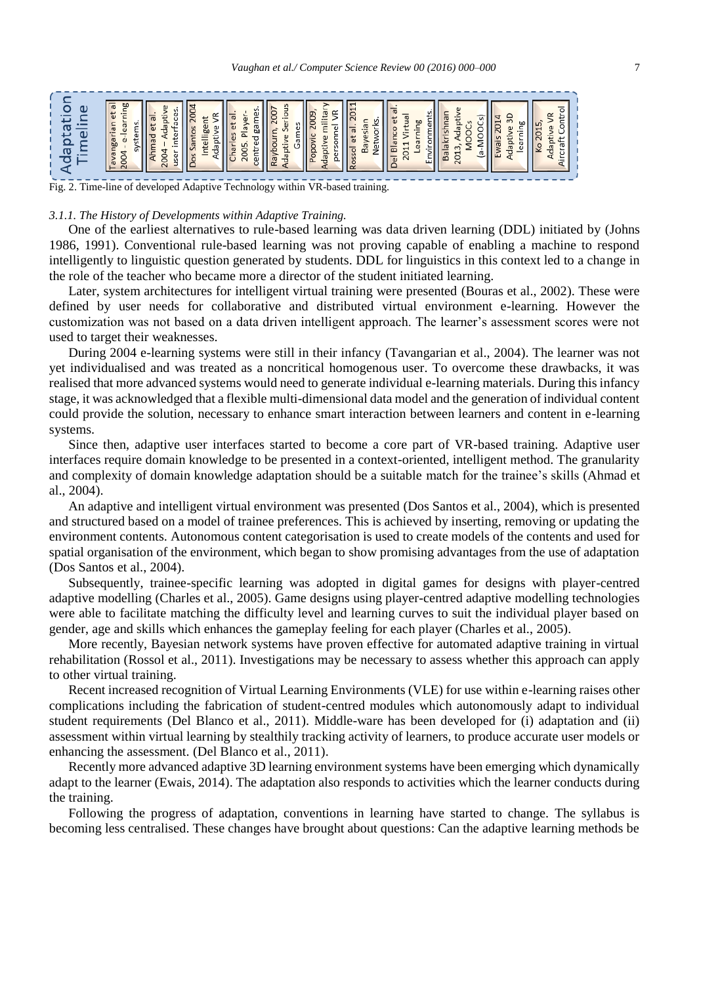Fig. 2. Time-line of developed Adaptive Technology within VR-based training.

### *3.1.1. The History of Developments within Adaptive Training.*

One of the earliest alternatives to rule-based learning was data driven learning (DDL) initiated by (Johns 1986, 1991). Conventional rule-based learning was not proving capable of enabling a machine to respond intelligently to linguistic question generated by students. DDL for linguistics in this context led to a change in the role of the teacher who became more a director of the student initiated learning.

Later, system architectures for intelligent virtual training were presented (Bouras et al., 2002). These were defined by user needs for collaborative and distributed virtual environment e-learning. However the customization was not based on a data driven intelligent approach. The learner's assessment scores were not used to target their weaknesses.

During 2004 e-learning systems were still in their infancy (Tavangarian et al., 2004). The learner was not yet individualised and was treated as a noncritical homogenous user. To overcome these drawbacks, it was realised that more advanced systems would need to generate individual e-learning materials. During this infancy stage, it was acknowledged that a flexible multi-dimensional data model and the generation of individual content could provide the solution, necessary to enhance smart interaction between learners and content in e-learning systems.

Since then, adaptive user interfaces started to become a core part of VR-based training. Adaptive user interfaces require domain knowledge to be presented in a context-oriented, intelligent method. The granularity and complexity of domain knowledge adaptation should be a suitable match for the trainee's skills (Ahmad et al., 2004).

An adaptive and intelligent virtual environment was presented (Dos Santos et al., 2004), which is presented and structured based on a model of trainee preferences. This is achieved by inserting, removing or updating the environment contents. Autonomous content categorisation is used to create models of the contents and used for spatial organisation of the environment, which began to show promising advantages from the use of adaptation (Dos Santos et al., 2004).

Subsequently, trainee-specific learning was adopted in digital games for designs with player-centred adaptive modelling (Charles et al., 2005). Game designs using player-centred adaptive modelling technologies were able to facilitate matching the difficulty level and learning curves to suit the individual player based on gender, age and skills which enhances the gameplay feeling for each player (Charles et al., 2005).

More recently, Bayesian network systems have proven effective for automated adaptive training in virtual rehabilitation (Rossol et al., 2011). Investigations may be necessary to assess whether this approach can apply to other virtual training.

Recent increased recognition of Virtual Learning Environments (VLE) for use within e-learning raises other complications including the fabrication of student-centred modules which autonomously adapt to individual student requirements (Del Blanco et al., 2011). Middle-ware has been developed for (i) adaptation and (ii) assessment within virtual learning by stealthily tracking activity of learners, to produce accurate user models or enhancing the assessment. (Del Blanco et al., 2011).

Recently more advanced adaptive 3D learning environment systems have been emerging which dynamically adapt to the learner (Ewais, 2014). The adaptation also responds to activities which the learner conducts during the training.

Following the progress of adaptation, conventions in learning have started to change. The syllabus is becoming less centralised. These changes have brought about questions: Can the adaptive learning methods be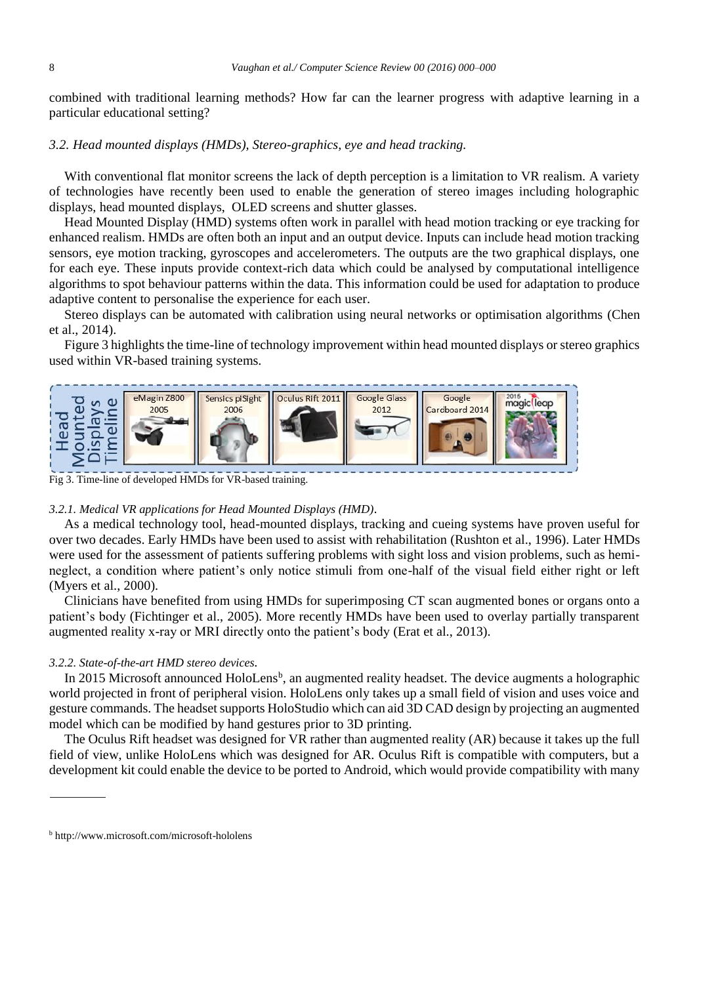combined with traditional learning methods? How far can the learner progress with adaptive learning in a particular educational setting?

# *3.2. Head mounted displays (HMDs), Stereo-graphics, eye and head tracking.*

With conventional flat monitor screens the lack of depth perception is a limitation to VR realism. A variety of technologies have recently been used to enable the generation of stereo images including holographic displays, head mounted displays, OLED screens and shutter glasses.

Head Mounted Display (HMD) systems often work in parallel with head motion tracking or eye tracking for enhanced realism. HMDs are often both an input and an output device. Inputs can include head motion tracking sensors, eye motion tracking, gyroscopes and accelerometers. The outputs are the two graphical displays, one for each eye. These inputs provide context-rich data which could be analysed by computational intelligence algorithms to spot behaviour patterns within the data. This information could be used for adaptation to produce adaptive content to personalise the experience for each user.

Stereo displays can be automated with calibration using neural networks or optimisation algorithms (Chen et al., 2014).

Figure 3 highlights the time-line of technology improvement within head mounted displays or stereo graphics used within VR-based training systems.



Fig 3. Time-line of developed HMDs for VR-based training.

## *3.2.1. Medical VR applications for Head Mounted Displays (HMD).*

As a medical technology tool, head-mounted displays, tracking and cueing systems have proven useful for over two decades. Early HMDs have been used to assist with rehabilitation (Rushton et al., 1996). Later HMDs were used for the assessment of patients suffering problems with sight loss and vision problems, such as hemineglect, a condition where patient's only notice stimuli from one-half of the visual field either right or left (Myers et al., 2000).

Clinicians have benefited from using HMDs for superimposing CT scan augmented bones or organs onto a patient's body (Fichtinger et al., 2005). More recently HMDs have been used to overlay partially transparent augmented reality x-ray or MRI directly onto the patient's body (Erat et al., 2013).

## *3.2.2. State-of-the-art HMD stereo devices.*

In 2015 Microsoft announced HoloLens<sup>b</sup>, an augmented reality headset. The device augments a holographic world projected in front of peripheral vision. HoloLens only takes up a small field of vision and uses voice and gesture commands. The headset supports HoloStudio which can aid 3D CAD design by projecting an augmented model which can be modified by hand gestures prior to 3D printing.

The Oculus Rift headset was designed for VR rather than augmented reality (AR) because it takes up the full field of view, unlike HoloLens which was designed for AR. Oculus Rift is compatible with computers, but a development kit could enable the device to be ported to Android, which would provide compatibility with many

<sup>b</sup> http://www.microsoft.com/microsoft-hololens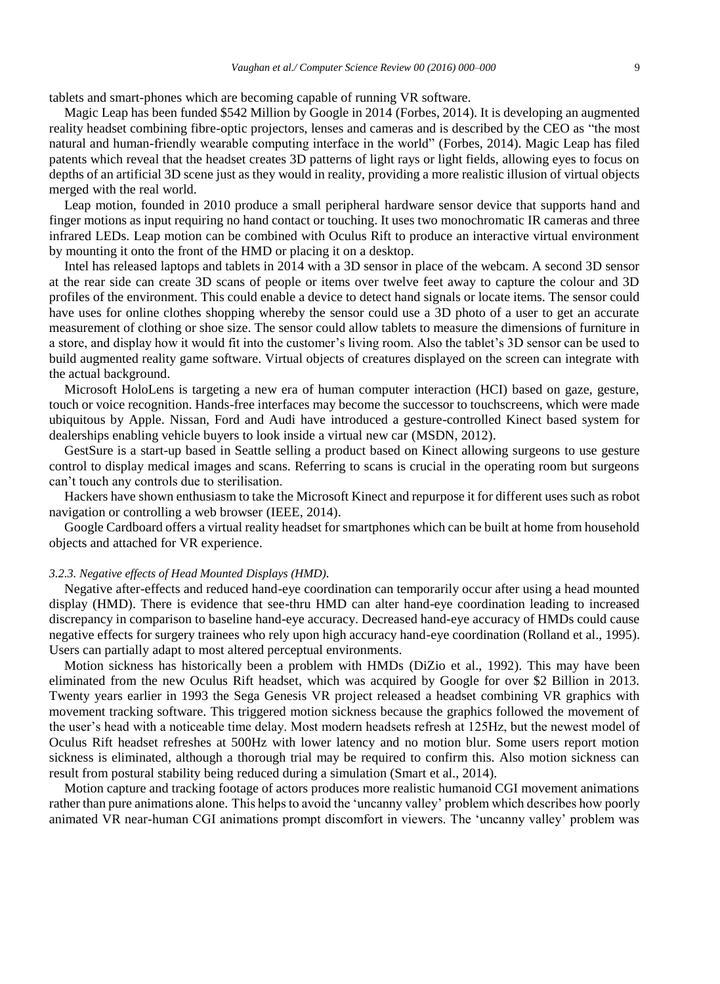tablets and smart-phones which are becoming capable of running VR software.

Magic Leap has been funded \$542 Million by Google in 2014 (Forbes, 2014). It is developing an augmented reality headset combining fibre-optic projectors, lenses and cameras and is described by the CEO as "the most natural and human-friendly wearable computing interface in the world" (Forbes, 2014). Magic Leap has filed patents which reveal that the headset creates 3D patterns of light rays or light fields, allowing eyes to focus on depths of an artificial 3D scene just as they would in reality, providing a more realistic illusion of virtual objects merged with the real world.

Leap motion, founded in 2010 produce a small peripheral hardware sensor device that supports hand and finger motions as input requiring no hand contact or touching. It uses two monochromatic IR cameras and three infrared LEDs. Leap motion can be combined with Oculus Rift to produce an interactive virtual environment by mounting it onto the front of the HMD or placing it on a desktop.

Intel has released laptops and tablets in 2014 with a 3D sensor in place of the webcam. A second 3D sensor at the rear side can create 3D scans of people or items over twelve feet away to capture the colour and 3D profiles of the environment. This could enable a device to detect hand signals or locate items. The sensor could have uses for online clothes shopping whereby the sensor could use a 3D photo of a user to get an accurate measurement of clothing or shoe size. The sensor could allow tablets to measure the dimensions of furniture in a store, and display how it would fit into the customer's living room. Also the tablet's 3D sensor can be used to build augmented reality game software. Virtual objects of creatures displayed on the screen can integrate with the actual background.

Microsoft HoloLens is targeting a new era of human computer interaction (HCI) based on gaze, gesture, touch or voice recognition. Hands-free interfaces may become the successor to touchscreens, which were made ubiquitous by Apple. Nissan, Ford and Audi have introduced a gesture-controlled Kinect based system for dealerships enabling vehicle buyers to look inside a virtual new car (MSDN, 2012).

GestSure is a start-up based in Seattle selling a product based on Kinect allowing surgeons to use gesture control to display medical images and scans. Referring to scans is crucial in the operating room but surgeons can't touch any controls due to sterilisation.

Hackers have shown enthusiasm to take the Microsoft Kinect and repurpose it for different uses such as robot navigation or controlling a web browser (IEEE, 2014).

Google Cardboard offers a virtual reality headset for smartphones which can be built at home from household objects and attached for VR experience.

## *3.2.3. Negative effects of Head Mounted Displays (HMD).*

Negative after-effects and reduced hand-eye coordination can temporarily occur after using a head mounted display (HMD). There is evidence that see-thru HMD can alter hand-eye coordination leading to increased discrepancy in comparison to baseline hand-eye accuracy. Decreased hand-eye accuracy of HMDs could cause negative effects for surgery trainees who rely upon high accuracy hand-eye coordination (Rolland et al., 1995). Users can partially adapt to most altered perceptual environments.

Motion sickness has historically been a problem with HMDs (DiZio et al., 1992). This may have been eliminated from the new Oculus Rift headset, which was acquired by Google for over \$2 Billion in 2013. Twenty years earlier in 1993 the Sega Genesis VR project released a headset combining VR graphics with movement tracking software. This triggered motion sickness because the graphics followed the movement of the user's head with a noticeable time delay. Most modern headsets refresh at 125Hz, but the newest model of Oculus Rift headset refreshes at 500Hz with lower latency and no motion blur. Some users report motion sickness is eliminated, although a thorough trial may be required to confirm this. Also motion sickness can result from postural stability being reduced during a simulation (Smart et al., 2014).

Motion capture and tracking footage of actors produces more realistic humanoid CGI movement animations rather than pure animations alone. This helps to avoid the 'uncanny valley' problem which describes how poorly animated VR near-human CGI animations prompt discomfort in viewers. The 'uncanny valley' problem was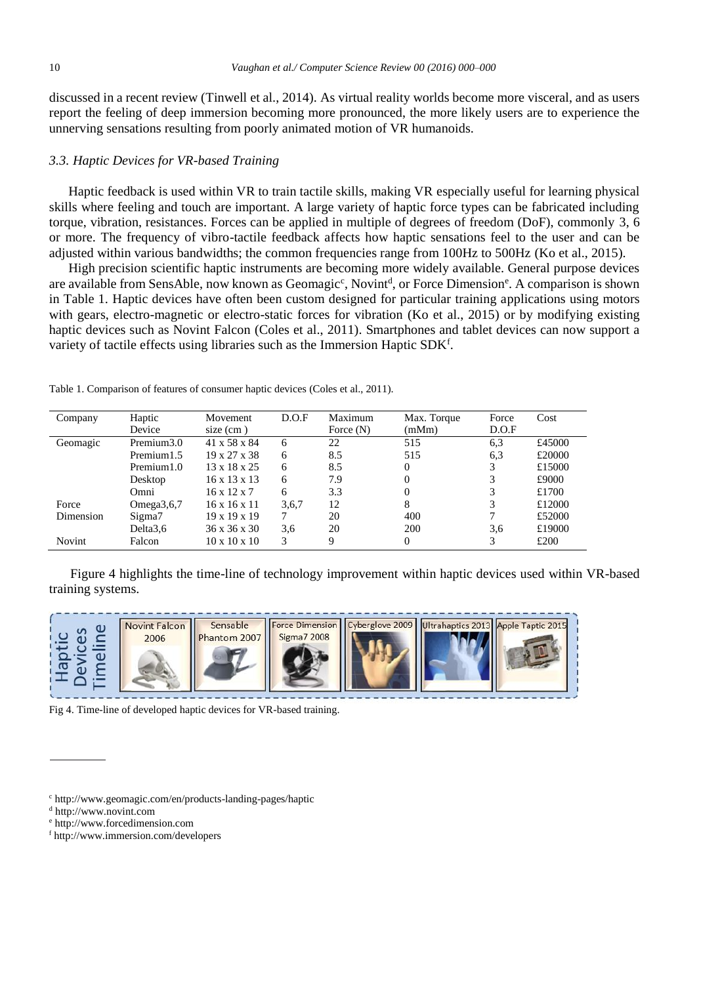discussed in a recent review (Tinwell et al., 2014). As virtual reality worlds become more visceral, and as users report the feeling of deep immersion becoming more pronounced, the more likely users are to experience the unnerving sensations resulting from poorly animated motion of VR humanoids.

## *3.3. Haptic Devices for VR-based Training*

Haptic feedback is used within VR to train tactile skills, making VR especially useful for learning physical skills where feeling and touch are important. A large variety of haptic force types can be fabricated including torque, vibration, resistances. Forces can be applied in multiple of degrees of freedom (DoF), commonly 3, 6 or more. The frequency of vibro-tactile feedback affects how haptic sensations feel to the user and can be adjusted within various bandwidths; the common frequencies range from 100Hz to 500Hz (Ko et al., 2015).

High precision scientific haptic instruments are becoming more widely available. General purpose devices are available from SensAble, now known as Geomagic<sup>c</sup>, Novint<sup>d</sup>, or Force Dimension<sup>e</sup>. A comparison is shown in Table 1. Haptic devices have often been custom designed for particular training applications using motors with gears, electro-magnetic or electro-static forces for vibration (Ko et al., 2015) or by modifying existing haptic devices such as Novint Falcon (Coles et al., 2011). Smartphones and tablet devices can now support a variety of tactile effects using libraries such as the Immersion Haptic SDKf.

| Company   | Haptic        | Movement                 | D.O.F | Maximum     | Max. Torque    | Force | Cost   |
|-----------|---------------|--------------------------|-------|-------------|----------------|-------|--------|
|           | Device        | $size$ (cm)              |       | Force $(N)$ | (mMm)          | D.O.F |        |
| Geomagic  | Premium3.0    | 41 x 58 x 84             | 6     | 22          | 515            | 6,3   | £45000 |
|           | Premium1.5    | $19 \times 27 \times 38$ | 6     | 8.5         | 515            | 6.3   | £20000 |
|           | Premium1.0    | $13 \times 18 \times 25$ | 6     | 8.5         | $\overline{0}$ | 3     | £15000 |
|           | Desktop       | 16 x 13 x 13             | 6     | 7.9         | $\Omega$       | 3     | £9000  |
|           | Omni          | $16 \times 12 \times 7$  | 6     | 3.3         | $\Omega$       | 3     | £1700  |
| Force     | Omega $3,6,7$ | $16 \times 16 \times 11$ | 3,6,7 | 12          | 8              | 3     | £12000 |
| Dimension | Sigma7        | $19 \times 19 \times 19$ | 7     | 20          | 400            |       | £52000 |
|           | Delta3.6      | 36 x 36 x 30             | 3.6   | 20          | 200            | 3.6   | £19000 |
| Novint    | Falcon        | $10 \times 10 \times 10$ | 3     | Q           | $^{(1)}$       | 3     | £200   |

Table 1. Comparison of features of consumer haptic devices (Coles et al., 2011).

Figure 4 highlights the time-line of technology improvement within haptic devices used within VR-based training systems.



Fig 4. Time-line of developed haptic devices for VR-based training.

<sup>c</sup> http://www.geomagic.com/en/products-landing-pages/haptic

<sup>d</sup> http://www.novint.com

<sup>e</sup> http://www.forcedimension.com

<sup>f</sup> http://www.immersion.com/developers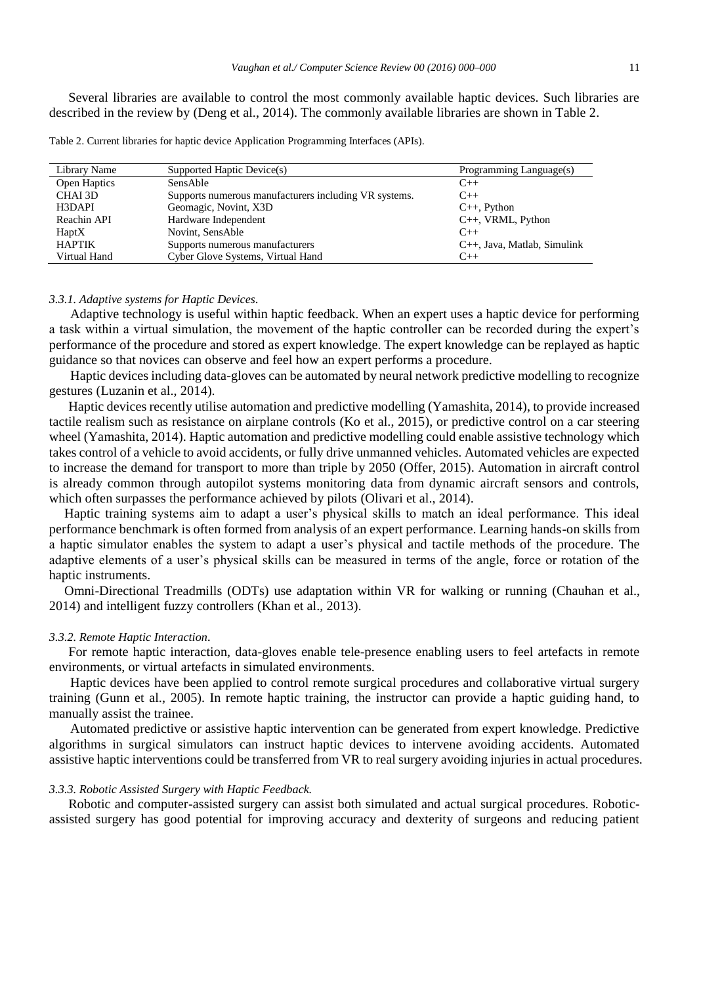Several libraries are available to control the most commonly available haptic devices. Such libraries are described in the review by (Deng et al., 2014). The commonly available libraries are shown in Table 2.

| Table 2. Current libraries for haptic device Application Programming Interfaces (APIs). |  |  |  |  |  |  |
|-----------------------------------------------------------------------------------------|--|--|--|--|--|--|
|-----------------------------------------------------------------------------------------|--|--|--|--|--|--|

| Library Name  | Supported Haptic Device(s)                            | Programming Language(s)           |
|---------------|-------------------------------------------------------|-----------------------------------|
| Open Haptics  | <b>SensAble</b>                                       | $C++$                             |
| CHAI 3D       | Supports numerous manufacturers including VR systems. | $C++$                             |
| H3DAPI        | Geomagic, Novint, X3D                                 | $C_{++}$ , Python                 |
| Reachin API   | Hardware Independent                                  | $C_{++}$ , VRML, Python           |
| HaptX         | Novint, SensAble                                      | $C++$                             |
| <b>HAPTIK</b> | Supports numerous manufacturers                       | $C_{++}$ , Java, Matlab, Simulink |
| Virtual Hand  | Cyber Glove Systems, Virtual Hand                     | $C++$                             |

#### *3.3.1. Adaptive systems for Haptic Devices.*

Adaptive technology is useful within haptic feedback. When an expert uses a haptic device for performing a task within a virtual simulation, the movement of the haptic controller can be recorded during the expert's performance of the procedure and stored as expert knowledge. The expert knowledge can be replayed as haptic guidance so that novices can observe and feel how an expert performs a procedure.

Haptic devices including data-gloves can be automated by neural network predictive modelling to recognize gestures (Luzanin et al., 2014).

Haptic devices recently utilise automation and predictive modelling (Yamashita, 2014), to provide increased tactile realism such as resistance on airplane controls (Ko et al., 2015), or predictive control on a car steering wheel (Yamashita, 2014). Haptic automation and predictive modelling could enable assistive technology which takes control of a vehicle to avoid accidents, or fully drive unmanned vehicles. Automated vehicles are expected to increase the demand for transport to more than triple by 2050 (Offer, 2015). Automation in aircraft control is already common through autopilot systems monitoring data from dynamic aircraft sensors and controls, which often surpasses the performance achieved by pilots (Olivari et al., 2014).

Haptic training systems aim to adapt a user's physical skills to match an ideal performance. This ideal performance benchmark is often formed from analysis of an expert performance. Learning hands-on skills from a haptic simulator enables the system to adapt a user's physical and tactile methods of the procedure. The adaptive elements of a user's physical skills can be measured in terms of the angle, force or rotation of the haptic instruments.

Omni-Directional Treadmills (ODTs) use adaptation within VR for walking or running (Chauhan et al., 2014) and intelligent fuzzy controllers (Khan et al., 2013).

# *3.3.2. Remote Haptic Interaction.*

For remote haptic interaction, data-gloves enable tele-presence enabling users to feel artefacts in remote environments, or virtual artefacts in simulated environments.

Haptic devices have been applied to control remote surgical procedures and collaborative virtual surgery training (Gunn et al., 2005). In remote haptic training, the instructor can provide a haptic guiding hand, to manually assist the trainee.

Automated predictive or assistive haptic intervention can be generated from expert knowledge. Predictive algorithms in surgical simulators can instruct haptic devices to intervene avoiding accidents. Automated assistive haptic interventions could be transferred from VR to real surgery avoiding injuries in actual procedures.

## *3.3.3. Robotic Assisted Surgery with Haptic Feedback.*

Robotic and computer-assisted surgery can assist both simulated and actual surgical procedures. Roboticassisted surgery has good potential for improving accuracy and dexterity of surgeons and reducing patient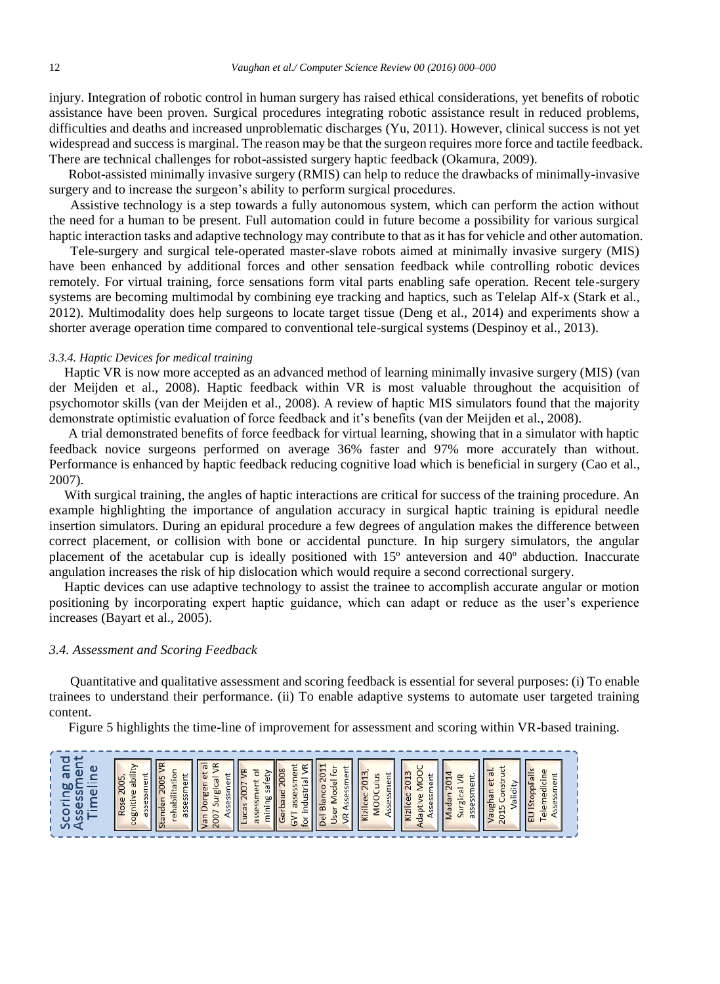injury. Integration of robotic control in human surgery has raised ethical considerations, yet benefits of robotic assistance have been proven. Surgical procedures integrating robotic assistance result in reduced problems, difficulties and deaths and increased unproblematic discharges (Yu, 2011). However, clinical success is not yet widespread and success is marginal. The reason may be that the surgeon requires more force and tactile feedback. There are technical challenges for robot-assisted surgery haptic feedback (Okamura, 2009).

Robot-assisted minimally invasive surgery (RMIS) can help to reduce the drawbacks of minimally-invasive surgery and to increase the surgeon's ability to perform surgical procedures.

Assistive technology is a step towards a fully autonomous system, which can perform the action without the need for a human to be present. Full automation could in future become a possibility for various surgical haptic interaction tasks and adaptive technology may contribute to that as it has for vehicle and other automation.

Tele-surgery and surgical tele-operated master-slave robots aimed at minimally invasive surgery (MIS) have been enhanced by additional forces and other sensation feedback while controlling robotic devices remotely. For virtual training, force sensations form vital parts enabling safe operation. Recent tele-surgery systems are becoming multimodal by combining eye tracking and haptics, such as Telelap Alf-x (Stark et al., 2012). Multimodality does help surgeons to locate target tissue (Deng et al., 2014) and experiments show a shorter average operation time compared to conventional tele-surgical systems (Despinoy et al., 2013).

## *3.3.4. Haptic Devices for medical training*

Haptic VR is now more accepted as an advanced method of learning minimally invasive surgery (MIS) (van der Meijden et al., 2008). Haptic feedback within VR is most valuable throughout the acquisition of psychomotor skills (van der Meijden et al., 2008). A review of haptic MIS simulators found that the majority demonstrate optimistic evaluation of force feedback and it's benefits (van der Meijden et al., 2008).

A trial demonstrated benefits of force feedback for virtual learning, showing that in a simulator with haptic feedback novice surgeons performed on average 36% faster and 97% more accurately than without. Performance is enhanced by haptic feedback reducing cognitive load which is beneficial in surgery (Cao et al., 2007).

With surgical training, the angles of haptic interactions are critical for success of the training procedure. An example highlighting the importance of angulation accuracy in surgical haptic training is epidural needle insertion simulators. During an epidural procedure a few degrees of angulation makes the difference between correct placement, or collision with bone or accidental puncture. In hip surgery simulators, the angular placement of the acetabular cup is ideally positioned with 15º anteversion and 40º abduction. Inaccurate angulation increases the risk of hip dislocation which would require a second correctional surgery.

Haptic devices can use adaptive technology to assist the trainee to accomplish accurate angular or motion positioning by incorporating expert haptic guidance, which can adapt or reduce as the user's experience increases (Bayart et al., 2005).

## *3.4. Assessment and Scoring Feedback*

Quantitative and qualitative assessment and scoring feedback is essential for several purposes: (i) To enable trainees to understand their performance. (ii) To enable adaptive systems to automate user targeted training content.

Figure 5 highlights the time-line of improvement for assessment and scoring within VR-based training.

| ∝<br>$\propto$<br>⊭<br>$\sigma$<br>−<br>七<br>ŏ<br>◡<br>$\mathbf -$<br>⊾ا<br>≒<br>۰.<br>$\infty$<br>έ<br>ö<br>$\overline{\phantom{0}}$<br>e<br>⋤<br>$\overline{\omega}$<br>ullus<br>◡<br>ะ<br>$\omega$<br>÷<br>ical<br>ŧί<br>۔<br>201<br>F<br>$\overline{\phantom{0}}$<br>è<br>FO<br>₫<br>201<br>=<br>يف<br>-<br>ā<br>C<br>÷<br>$\sim$<br>ō<br>∼<br>世<br>ā<br>-<br>≻<br>$\sigma$<br><u>.</u><br>ō<br>-e<br>$\overline{\omega}$<br>하<br>뉴<br>ぢ<br>₽<br>e<br>$\sigma$<br>Blanco<br>ita<br><br>∼<br>her<br>$\overline{200}$<br>ΞI<br><b>SP</b><br>20<br>-<br>-<br>-<br>ō<br><br>÷<br>$\overline{S}$<br>ndustr<br>∼<br>⋍<br>$\sigma$<br>≻<br>≻<br>$\overline{a}$<br>šeš<br>ပ<br>卫<br>ᅙ<br>≻<br>šī<br>Φ<br>-<br>$\omega$<br>ŏ<br>$\overline{c}$<br>šĭ<br>∺<br>n<br>흕<br>$\overline{p}$<br>$\omega$<br>S<br>ier<br>Kizilcec<br><b>Nadan</b><br>ল<br>Gizilcec<br>ā<br>ပ<br>ilider<br>Sur<br>Ü<br>b<br>ທ<br>ssr<br>ū<br><b>g</b><br>$\overline{\phantom{a}}$<br>Ū1<br>ō<br>æ<br>gniti<br>ā<br>S<br>àί<br>anden<br>ᆖ<br>$\omega$<br>60<br>Ò<br>sse<br>≏<br>m<br>$\mathbf{u}$<br>Ö<br>Lucas<br>₽<br>$\sim$<br>Ρã<br>ū<br>S<br>¢<br>Ü<br>--<br>SS<br>≒<br><b>g</b><br>2<br><b>v</b><br>÷<br>-<br>İser<br>ûń<br>$\sim$<br>$\sigma$<br>∼<br><u>. =</u><br><u>_</u><br><br>$\overline{\phantom{0}}$<br>$\overline{\phantom{a}}$<br>æ<br>$\propto$<br>$\sigma$<br>ω<br>⋍<br>$\overline{a}$<br>Jel<br>$\overline{8}$<br>ue<br>$\overline{a}$<br>$\ddot{\circ}$<br>-<br>ă<br>$\Omega$<br>tor<br>$\overline{\phantom{a}}$<br>Ь | $\overline{a}$<br>÷<br>ā<br>节<br>$\mathbf{r}$<br>S<br>$\omega$<br>≻<br>$\omega$<br>눕<br>i N<br>S<br>$\overline{\omega}$<br>∍<br>ー |
|-------------------------------------------------------------------------------------------------------------------------------------------------------------------------------------------------------------------------------------------------------------------------------------------------------------------------------------------------------------------------------------------------------------------------------------------------------------------------------------------------------------------------------------------------------------------------------------------------------------------------------------------------------------------------------------------------------------------------------------------------------------------------------------------------------------------------------------------------------------------------------------------------------------------------------------------------------------------------------------------------------------------------------------------------------------------------------------------------------------------------------------------------------------------------------------------------------------------------------------------------------------------------------------------------------------------------------------------------------------------------------------------------------------------------------------------------------------------------------------------------------------|-----------------------------------------------------------------------------------------------------------------------------------|
|-------------------------------------------------------------------------------------------------------------------------------------------------------------------------------------------------------------------------------------------------------------------------------------------------------------------------------------------------------------------------------------------------------------------------------------------------------------------------------------------------------------------------------------------------------------------------------------------------------------------------------------------------------------------------------------------------------------------------------------------------------------------------------------------------------------------------------------------------------------------------------------------------------------------------------------------------------------------------------------------------------------------------------------------------------------------------------------------------------------------------------------------------------------------------------------------------------------------------------------------------------------------------------------------------------------------------------------------------------------------------------------------------------------------------------------------------------------------------------------------------------------|-----------------------------------------------------------------------------------------------------------------------------------|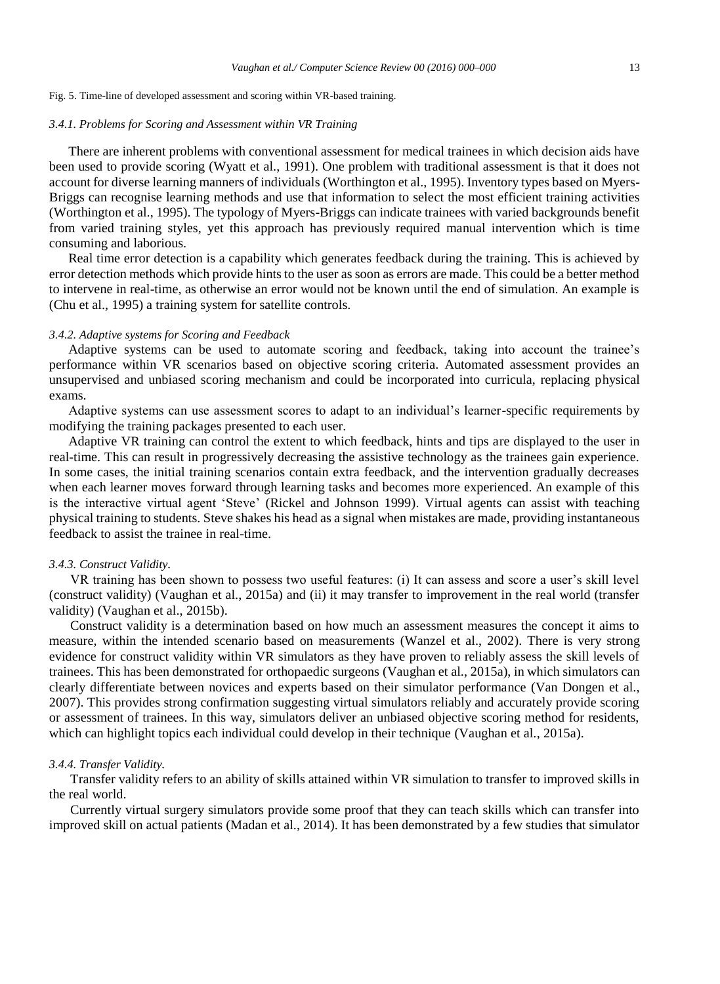#### Fig. 5. Time-line of developed assessment and scoring within VR-based training.

#### *3.4.1. Problems for Scoring and Assessment within VR Training*

There are inherent problems with conventional assessment for medical trainees in which decision aids have been used to provide scoring (Wyatt et al., 1991). One problem with traditional assessment is that it does not account for diverse learning manners of individuals (Worthington et al., 1995). Inventory types based on Myers-Briggs can recognise learning methods and use that information to select the most efficient training activities (Worthington et al., 1995). The typology of Myers-Briggs can indicate trainees with varied backgrounds benefit from varied training styles, yet this approach has previously required manual intervention which is time consuming and laborious.

Real time error detection is a capability which generates feedback during the training. This is achieved by error detection methods which provide hints to the user as soon as errors are made. This could be a better method to intervene in real-time, as otherwise an error would not be known until the end of simulation. An example is (Chu et al., 1995) a training system for satellite controls.

# *3.4.2. Adaptive systems for Scoring and Feedback*

Adaptive systems can be used to automate scoring and feedback, taking into account the trainee's performance within VR scenarios based on objective scoring criteria. Automated assessment provides an unsupervised and unbiased scoring mechanism and could be incorporated into curricula, replacing physical exams.

Adaptive systems can use assessment scores to adapt to an individual's learner-specific requirements by modifying the training packages presented to each user.

Adaptive VR training can control the extent to which feedback, hints and tips are displayed to the user in real-time. This can result in progressively decreasing the assistive technology as the trainees gain experience. In some cases, the initial training scenarios contain extra feedback, and the intervention gradually decreases when each learner moves forward through learning tasks and becomes more experienced. An example of this is the interactive virtual agent 'Steve' (Rickel and Johnson 1999). Virtual agents can assist with teaching physical training to students. Steve shakes his head as a signal when mistakes are made, providing instantaneous feedback to assist the trainee in real-time.

## *3.4.3. Construct Validity.*

VR training has been shown to possess two useful features: (i) It can assess and score a user's skill level (construct validity) (Vaughan et al., 2015a) and (ii) it may transfer to improvement in the real world (transfer validity) (Vaughan et al., 2015b).

Construct validity is a determination based on how much an assessment measures the concept it aims to measure, within the intended scenario based on measurements (Wanzel et al., 2002). There is very strong evidence for construct validity within VR simulators as they have proven to reliably assess the skill levels of trainees. This has been demonstrated for orthopaedic surgeons (Vaughan et al., 2015a), in which simulators can clearly differentiate between novices and experts based on their simulator performance (Van Dongen et al., 2007). This provides strong confirmation suggesting virtual simulators reliably and accurately provide scoring or assessment of trainees. In this way, simulators deliver an unbiased objective scoring method for residents, which can highlight topics each individual could develop in their technique (Vaughan et al., 2015a).

#### *3.4.4. Transfer Validity.*

Transfer validity refers to an ability of skills attained within VR simulation to transfer to improved skills in the real world.

Currently virtual surgery simulators provide some proof that they can teach skills which can transfer into improved skill on actual patients (Madan et al., 2014). It has been demonstrated by a few studies that simulator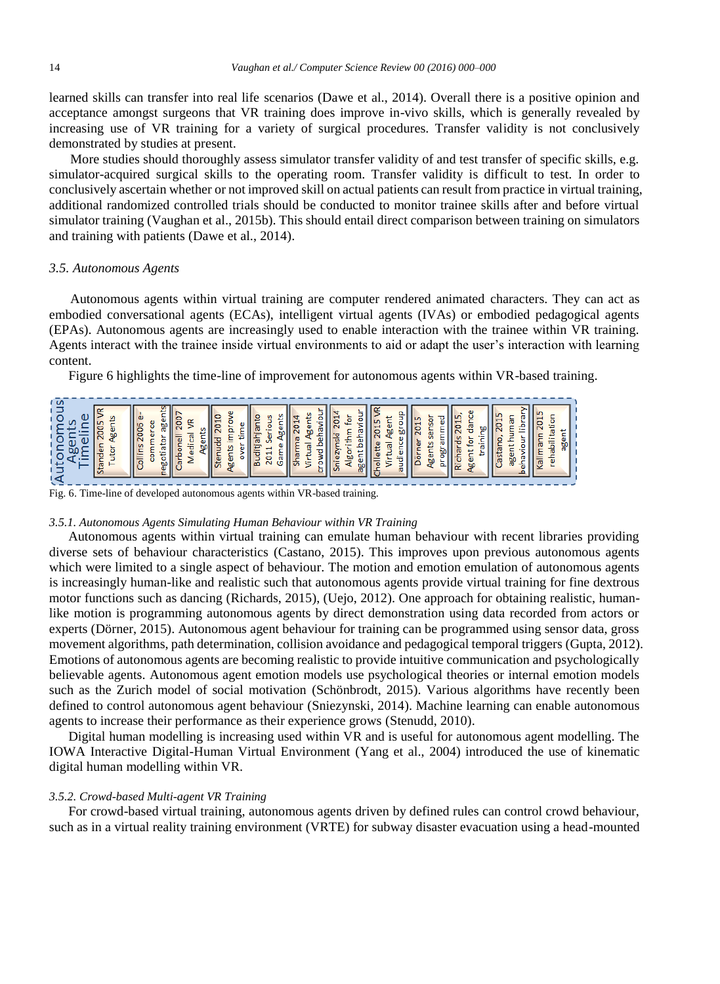learned skills can transfer into real life scenarios (Dawe et al., 2014). Overall there is a positive opinion and acceptance amongst surgeons that VR training does improve in-vivo skills, which is generally revealed by increasing use of VR training for a variety of surgical procedures. Transfer validity is not conclusively demonstrated by studies at present.

More studies should thoroughly assess simulator transfer validity of and test transfer of specific skills, e.g. simulator-acquired surgical skills to the operating room. Transfer validity is difficult to test. In order to conclusively ascertain whether or not improved skill on actual patients can result from practice in virtual training, additional randomized controlled trials should be conducted to monitor trainee skills after and before virtual simulator training (Vaughan et al., 2015b). This should entail direct comparison between training on simulators and training with patients (Dawe et al., 2014).

# *3.5. Autonomous Agents*

Autonomous agents within virtual training are computer rendered animated characters. They can act as embodied conversational agents (ECAs), intelligent virtual agents (IVAs) or embodied pedagogical agents (EPAs). Autonomous agents are increasingly used to enable interaction with the trainee within VR training. Agents interact with the trainee inside virtual environments to aid or adapt the user's interaction with learning content.

Figure 6 highlights the time-line of improvement for autonomous agents within VR-based training.

Fig. 6. Time-line of developed autonomous agents within VR-based training.

# *3.5.1. Autonomous Agents Simulating Human Behaviour within VR Training*

Autonomous agents within virtual training can emulate human behaviour with recent libraries providing diverse sets of behaviour characteristics (Castano, 2015). This improves upon previous autonomous agents which were limited to a single aspect of behaviour. The motion and emotion emulation of autonomous agents is increasingly human-like and realistic such that autonomous agents provide virtual training for fine dextrous motor functions such as dancing (Richards, 2015), (Uejo, 2012). One approach for obtaining realistic, humanlike motion is programming autonomous agents by direct demonstration using data recorded from actors or experts (Dörner, 2015). Autonomous agent behaviour for training can be programmed using sensor data, gross movement algorithms, path determination, collision avoidance and pedagogical temporal triggers (Gupta, 2012). Emotions of autonomous agents are becoming realistic to provide intuitive communication and psychologically believable agents. Autonomous agent emotion models use psychological theories or internal emotion models such as the Zurich model of social motivation (Schönbrodt, 2015). Various algorithms have recently been defined to control autonomous agent behaviour (Sniezynski, 2014). Machine learning can enable autonomous agents to increase their performance as their experience grows (Stenudd, 2010).

Digital human modelling is increasing used within VR and is useful for autonomous agent modelling. The IOWA Interactive Digital-Human Virtual Environment (Yang et al., 2004) introduced the use of kinematic digital human modelling within VR.

## *3.5.2. Crowd-based Multi-agent VR Training*

For crowd-based virtual training, autonomous agents driven by defined rules can control crowd behaviour, such as in a virtual reality training environment (VRTE) for subway disaster evacuation using a head-mounted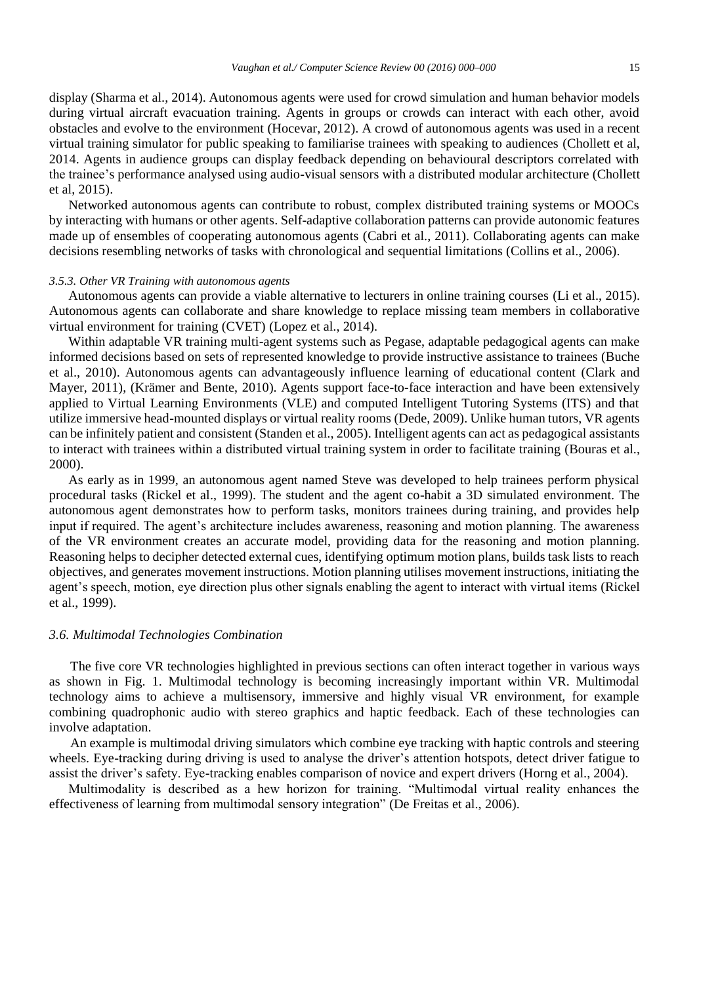display (Sharma et al., 2014). Autonomous agents were used for crowd simulation and human behavior models during virtual aircraft evacuation training. Agents in groups or crowds can interact with each other, avoid obstacles and evolve to the environment (Hocevar, 2012). A crowd of autonomous agents was used in a recent virtual training simulator for public speaking to familiarise trainees with speaking to audiences (Chollett et al, 2014. Agents in audience groups can display feedback depending on behavioural descriptors correlated with the trainee's performance analysed using audio-visual sensors with a distributed modular architecture (Chollett et al, 2015).

Networked autonomous agents can contribute to robust, complex distributed training systems or MOOCs by interacting with humans or other agents. Self-adaptive collaboration patterns can provide autonomic features made up of ensembles of cooperating autonomous agents (Cabri et al., 2011). Collaborating agents can make decisions resembling networks of tasks with chronological and sequential limitations (Collins et al., 2006).

#### *3.5.3. Other VR Training with autonomous agents*

Autonomous agents can provide a viable alternative to lecturers in online training courses (Li et al., 2015). Autonomous agents can collaborate and share knowledge to replace missing team members in collaborative virtual environment for training (CVET) (Lopez et al., 2014).

Within adaptable VR training multi-agent systems such as Pegase, adaptable pedagogical agents can make informed decisions based on sets of represented knowledge to provide instructive assistance to trainees (Buche et al., 2010). Autonomous agents can advantageously influence learning of educational content (Clark and Mayer, 2011), (Krämer and Bente, 2010). Agents support face-to-face interaction and have been extensively applied to Virtual Learning Environments (VLE) and computed Intelligent Tutoring Systems (ITS) and that utilize immersive head-mounted displays or virtual reality rooms (Dede, 2009). Unlike human tutors, VR agents can be infinitely patient and consistent (Standen et al., 2005). Intelligent agents can act as pedagogical assistants to interact with trainees within a distributed virtual training system in order to facilitate training (Bouras et al., 2000).

As early as in 1999, an autonomous agent named Steve was developed to help trainees perform physical procedural tasks (Rickel et al., 1999). The student and the agent co-habit a 3D simulated environment. The autonomous agent demonstrates how to perform tasks, monitors trainees during training, and provides help input if required. The agent's architecture includes awareness, reasoning and motion planning. The awareness of the VR environment creates an accurate model, providing data for the reasoning and motion planning. Reasoning helps to decipher detected external cues, identifying optimum motion plans, builds task lists to reach objectives, and generates movement instructions. Motion planning utilises movement instructions, initiating the agent's speech, motion, eye direction plus other signals enabling the agent to interact with virtual items (Rickel et al., 1999).

## *3.6. Multimodal Technologies Combination*

The five core VR technologies highlighted in previous sections can often interact together in various ways as shown in Fig. 1. Multimodal technology is becoming increasingly important within VR. Multimodal technology aims to achieve a multisensory, immersive and highly visual VR environment, for example combining quadrophonic audio with stereo graphics and haptic feedback. Each of these technologies can involve adaptation.

An example is multimodal driving simulators which combine eye tracking with haptic controls and steering wheels. Eye-tracking during driving is used to analyse the driver's attention hotspots, detect driver fatigue to assist the driver's safety. Eye-tracking enables comparison of novice and expert drivers (Horng et al., 2004).

Multimodality is described as a hew horizon for training. "Multimodal virtual reality enhances the effectiveness of learning from multimodal sensory integration" (De Freitas et al., 2006).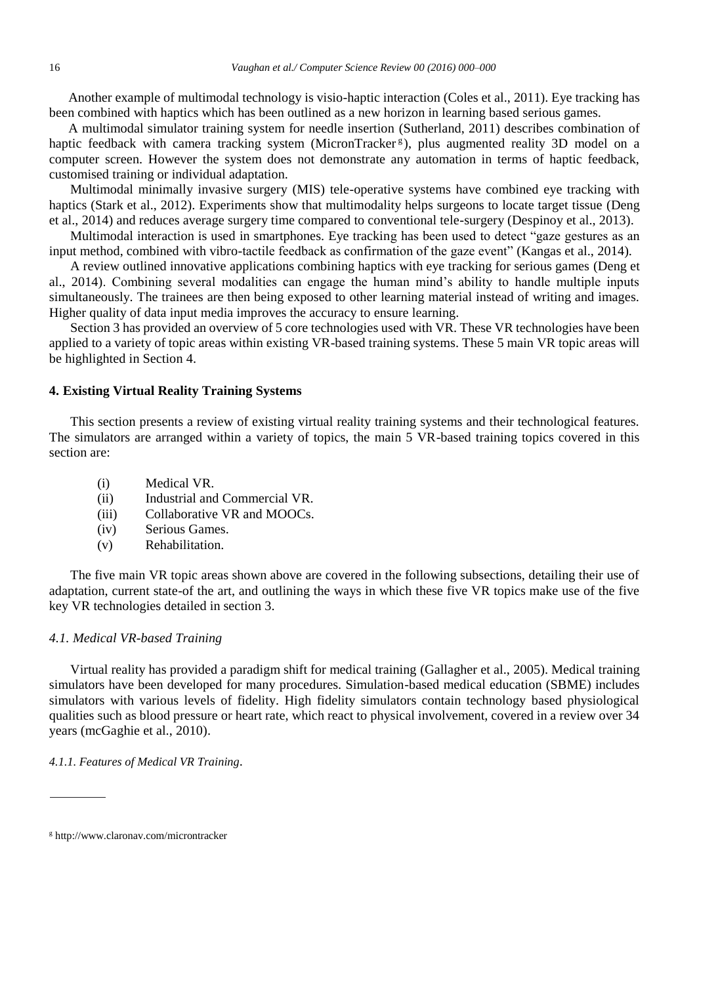Another example of multimodal technology is visio-haptic interaction (Coles et al., 2011). Eye tracking has been combined with haptics which has been outlined as a new horizon in learning based serious games.

A multimodal simulator training system for needle insertion (Sutherland, 2011) describes combination of haptic feedback with camera tracking system (MicronTracker<sup>g</sup>), plus augmented reality 3D model on a computer screen. However the system does not demonstrate any automation in terms of haptic feedback, customised training or individual adaptation.

Multimodal minimally invasive surgery (MIS) tele-operative systems have combined eye tracking with haptics (Stark et al., 2012). Experiments show that multimodality helps surgeons to locate target tissue (Deng et al., 2014) and reduces average surgery time compared to conventional tele-surgery (Despinoy et al., 2013).

Multimodal interaction is used in smartphones. Eye tracking has been used to detect "gaze gestures as an input method, combined with vibro-tactile feedback as confirmation of the gaze event" (Kangas et al., 2014).

A review outlined innovative applications combining haptics with eye tracking for serious games (Deng et al., 2014). Combining several modalities can engage the human mind's ability to handle multiple inputs simultaneously. The trainees are then being exposed to other learning material instead of writing and images. Higher quality of data input media improves the accuracy to ensure learning.

Section 3 has provided an overview of 5 core technologies used with VR. These VR technologies have been applied to a variety of topic areas within existing VR-based training systems. These 5 main VR topic areas will be highlighted in Section 4.

# **4. Existing Virtual Reality Training Systems**

This section presents a review of existing virtual reality training systems and their technological features. The simulators are arranged within a variety of topics, the main 5 VR-based training topics covered in this section are:

- (i) Medical VR.
- (ii) Industrial and Commercial VR.
- (iii) Collaborative VR and MOOCs.
- (iv) Serious Games.
- (v) Rehabilitation.

The five main VR topic areas shown above are covered in the following subsections, detailing their use of adaptation, current state-of the art, and outlining the ways in which these five VR topics make use of the five key VR technologies detailed in section 3.

# *4.1. Medical VR-based Training*

Virtual reality has provided a paradigm shift for medical training (Gallagher et al., 2005). Medical training simulators have been developed for many procedures. Simulation-based medical education (SBME) includes simulators with various levels of fidelity. High fidelity simulators contain technology based physiological qualities such as blood pressure or heart rate, which react to physical involvement, covered in a review over 34 years (mcGaghie et al., 2010).

*4.1.1. Features of Medical VR Training.*

<sup>g</sup> http://www.claronav.com/microntracker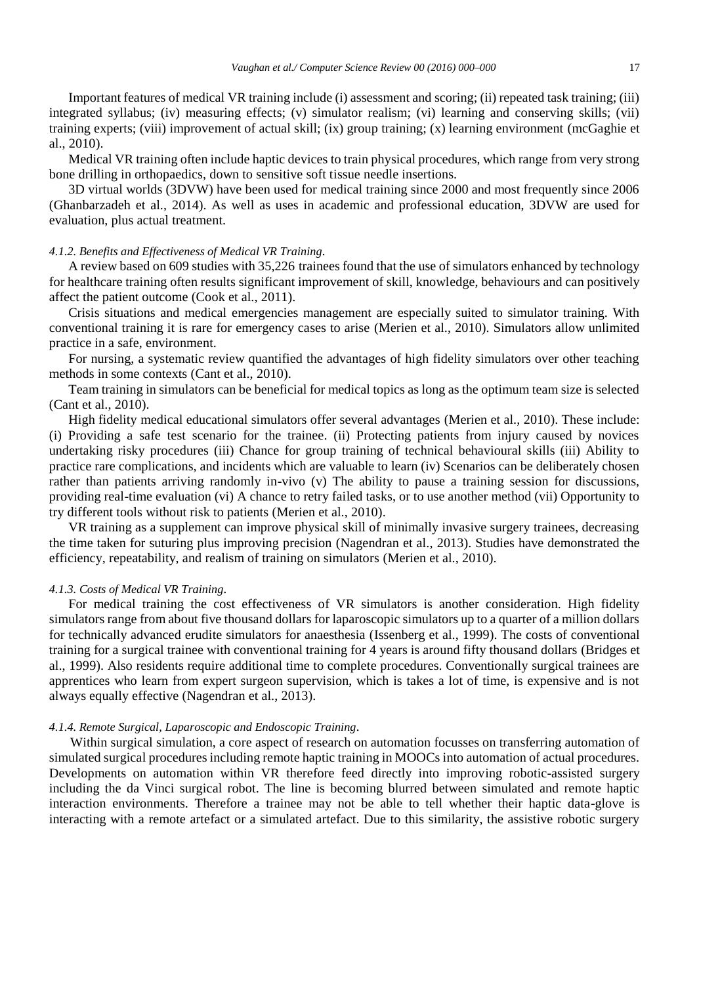Important features of medical VR training include (i) assessment and scoring; (ii) repeated task training; (iii) integrated syllabus; (iv) measuring effects; (v) simulator realism; (vi) learning and conserving skills; (vii) training experts; (viii) improvement of actual skill; (ix) group training; (x) learning environment (mcGaghie et al., 2010).

Medical VR training often include haptic devices to train physical procedures, which range from very strong bone drilling in orthopaedics, down to sensitive soft tissue needle insertions.

3D virtual worlds (3DVW) have been used for medical training since 2000 and most frequently since 2006 (Ghanbarzadeh et al., 2014). As well as uses in academic and professional education, 3DVW are used for evaluation, plus actual treatment.

## *4.1.2. Benefits and Effectiveness of Medical VR Training.*

A review based on 609 studies with 35,226 trainees found that the use of simulators enhanced by technology for healthcare training often results significant improvement of skill, knowledge, behaviours and can positively affect the patient outcome (Cook et al., 2011).

Crisis situations and medical emergencies management are especially suited to simulator training. With conventional training it is rare for emergency cases to arise (Merien et al., 2010). Simulators allow unlimited practice in a safe, environment.

For nursing, a systematic review quantified the advantages of high fidelity simulators over other teaching methods in some contexts (Cant et al., 2010).

Team training in simulators can be beneficial for medical topics as long as the optimum team size is selected (Cant et al., 2010).

High fidelity medical educational simulators offer several advantages (Merien et al., 2010). These include: (i) Providing a safe test scenario for the trainee. (ii) Protecting patients from injury caused by novices undertaking risky procedures (iii) Chance for group training of technical behavioural skills (iii) Ability to practice rare complications, and incidents which are valuable to learn (iv) Scenarios can be deliberately chosen rather than patients arriving randomly in-vivo (v) The ability to pause a training session for discussions, providing real-time evaluation (vi) A chance to retry failed tasks, or to use another method (vii) Opportunity to try different tools without risk to patients (Merien et al., 2010).

VR training as a supplement can improve physical skill of minimally invasive surgery trainees, decreasing the time taken for suturing plus improving precision (Nagendran et al., 2013). Studies have demonstrated the efficiency, repeatability, and realism of training on simulators (Merien et al., 2010).

#### *4.1.3. Costs of Medical VR Training.*

For medical training the cost effectiveness of VR simulators is another consideration. High fidelity simulators range from about five thousand dollars for laparoscopic simulators up to a quarter of a million dollars for technically advanced erudite simulators for anaesthesia (Issenberg et al., 1999). The costs of conventional training for a surgical trainee with conventional training for 4 years is around fifty thousand dollars (Bridges et al., 1999). Also residents require additional time to complete procedures. Conventionally surgical trainees are apprentices who learn from expert surgeon supervision, which is takes a lot of time, is expensive and is not always equally effective (Nagendran et al., 2013).

# *4.1.4. Remote Surgical, Laparoscopic and Endoscopic Training.*

Within surgical simulation, a core aspect of research on automation focusses on transferring automation of simulated surgical procedures including remote haptic training in MOOCs into automation of actual procedures. Developments on automation within VR therefore feed directly into improving robotic-assisted surgery including the da Vinci surgical robot. The line is becoming blurred between simulated and remote haptic interaction environments. Therefore a trainee may not be able to tell whether their haptic data-glove is interacting with a remote artefact or a simulated artefact. Due to this similarity, the assistive robotic surgery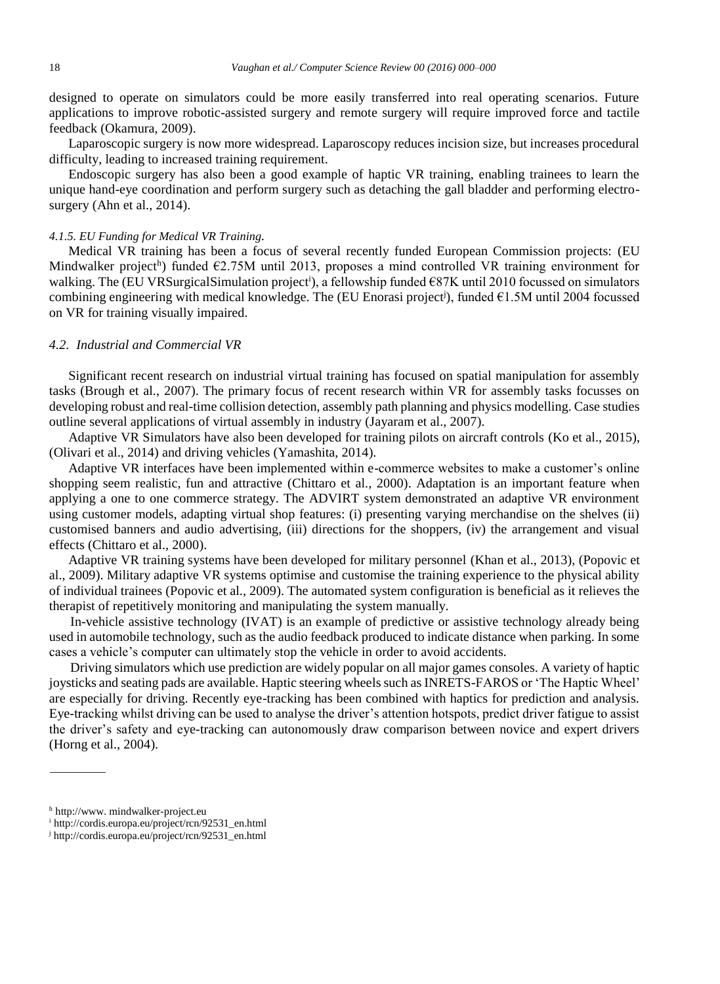designed to operate on simulators could be more easily transferred into real operating scenarios. Future applications to improve robotic-assisted surgery and remote surgery will require improved force and tactile feedback (Okamura, 2009).

Laparoscopic surgery is now more widespread. Laparoscopy reduces incision size, but increases procedural difficulty, leading to increased training requirement.

Endoscopic surgery has also been a good example of haptic VR training, enabling trainees to learn the unique hand-eye coordination and perform surgery such as detaching the gall bladder and performing electrosurgery (Ahn et al., 2014).

#### *4.1.5. EU Funding for Medical VR Training.*

Medical VR training has been a focus of several recently funded European Commission projects: (EU Mindwalker project<sup>h</sup>) funded  $\epsilon$ 2.75M until 2013, proposes a mind controlled VR training environment for walking. The (EU VRSurgicalSimulation project<sup>i</sup>), a fellowship funded €87K until 2010 focussed on simulators combining engineering with medical knowledge. The (EU Enorasi project<sup>j</sup> ), funded €1.5M until 2004 focussed on VR for training visually impaired.

# *4.2. Industrial and Commercial VR*

Significant recent research on industrial virtual training has focused on spatial manipulation for assembly tasks (Brough et al., 2007). The primary focus of recent research within VR for assembly tasks focusses on developing robust and real-time collision detection, assembly path planning and physics modelling. Case studies outline several applications of virtual assembly in industry (Jayaram et al., 2007).

Adaptive VR Simulators have also been developed for training pilots on aircraft controls (Ko et al., 2015), (Olivari et al., 2014) and driving vehicles (Yamashita, 2014).

Adaptive VR interfaces have been implemented within e-commerce websites to make a customer's online shopping seem realistic, fun and attractive (Chittaro et al., 2000). Adaptation is an important feature when applying a one to one commerce strategy. The ADVIRT system demonstrated an adaptive VR environment using customer models, adapting virtual shop features: (i) presenting varying merchandise on the shelves (ii) customised banners and audio advertising, (iii) directions for the shoppers, (iv) the arrangement and visual effects (Chittaro et al., 2000).

Adaptive VR training systems have been developed for military personnel (Khan et al., 2013), (Popovic et al., 2009). Military adaptive VR systems optimise and customise the training experience to the physical ability of individual trainees (Popovic et al., 2009). The automated system configuration is beneficial as it relieves the therapist of repetitively monitoring and manipulating the system manually.

In-vehicle assistive technology (IVAT) is an example of predictive or assistive technology already being used in automobile technology, such as the audio feedback produced to indicate distance when parking. In some cases a vehicle's computer can ultimately stop the vehicle in order to avoid accidents.

Driving simulators which use prediction are widely popular on all major games consoles. A variety of haptic joysticks and seating pads are available. Haptic steering wheels such as INRETS-FAROS or 'The Haptic Wheel' are especially for driving. Recently eye-tracking has been combined with haptics for prediction and analysis. Eye-tracking whilst driving can be used to analyse the driver's attention hotspots, predict driver fatigue to assist the driver's safety and eye-tracking can autonomously draw comparison between novice and expert drivers (Horng et al., 2004).

<sup>h</sup> http://www. mindwalker-project.eu

<sup>i</sup> http://cordis.europa.eu/project/rcn/92531\_en.html

<sup>j</sup> http://cordis.europa.eu/project/rcn/92531\_en.html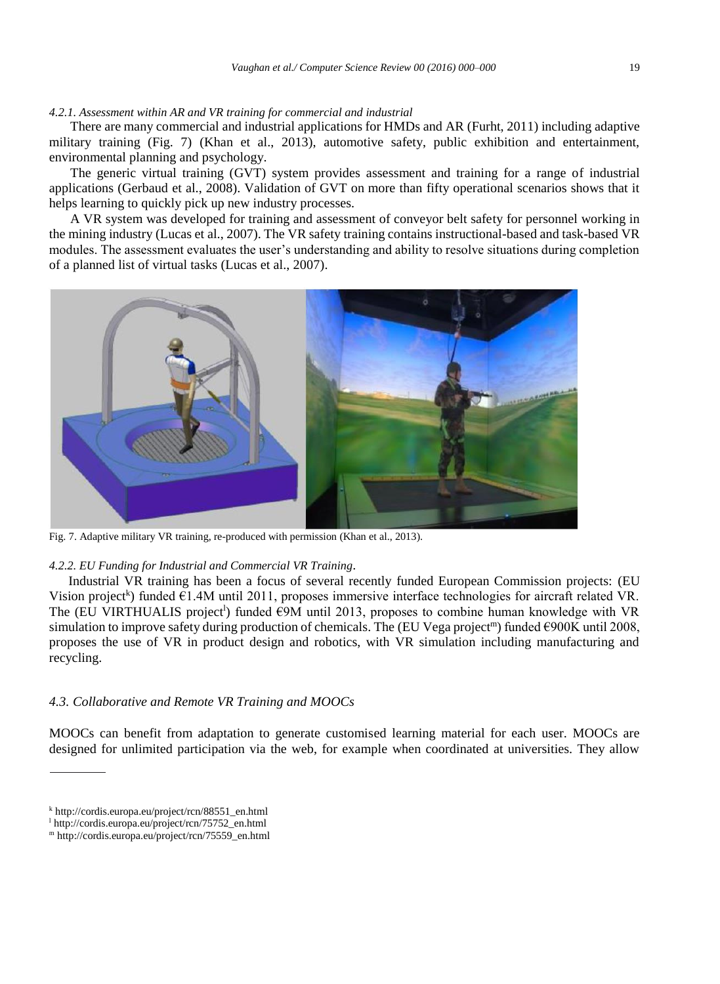## *4.2.1. Assessment within AR and VR training for commercial and industrial*

There are many commercial and industrial applications for HMDs and AR (Furht, 2011) including adaptive military training (Fig. 7) (Khan et al., 2013), automotive safety, public exhibition and entertainment, environmental planning and psychology.

The generic virtual training (GVT) system provides assessment and training for a range of industrial applications (Gerbaud et al., 2008). Validation of GVT on more than fifty operational scenarios shows that it helps learning to quickly pick up new industry processes.

A VR system was developed for training and assessment of conveyor belt safety for personnel working in the mining industry (Lucas et al., 2007). The VR safety training contains instructional-based and task-based VR modules. The assessment evaluates the user's understanding and ability to resolve situations during completion of a planned list of virtual tasks (Lucas et al., 2007).



Fig. 7. Adaptive military VR training, re-produced with permission (Khan et al., 2013).

#### *4.2.2. EU Funding for Industrial and Commercial VR Training.*

Industrial VR training has been a focus of several recently funded European Commission projects: (EU Vision project<sup>k</sup>) funded  $\epsilon$ 1.4M until 2011, proposes immersive interface technologies for aircraft related VR. The (EU VIRTHUALIS project<sup>1</sup>) funded  $\epsilon$ 9M until 2013, proposes to combine human knowledge with VR simulation to improve safety during production of chemicals. The (EU Vega project<sup>m</sup>) funded  $\epsilon$ 900K until 2008, proposes the use of VR in product design and robotics, with VR simulation including manufacturing and recycling.

# *4.3. Collaborative and Remote VR Training and MOOCs*

MOOCs can benefit from adaptation to generate customised learning material for each user. MOOCs are designed for unlimited participation via the web, for example when coordinated at universities. They allow

<sup>k</sup> http://cordis.europa.eu/project/rcn/88551\_en.html

<sup>l</sup> http://cordis.europa.eu/project/rcn/75752\_en.html

<sup>m</sup> http://cordis.europa.eu/project/rcn/75559\_en.html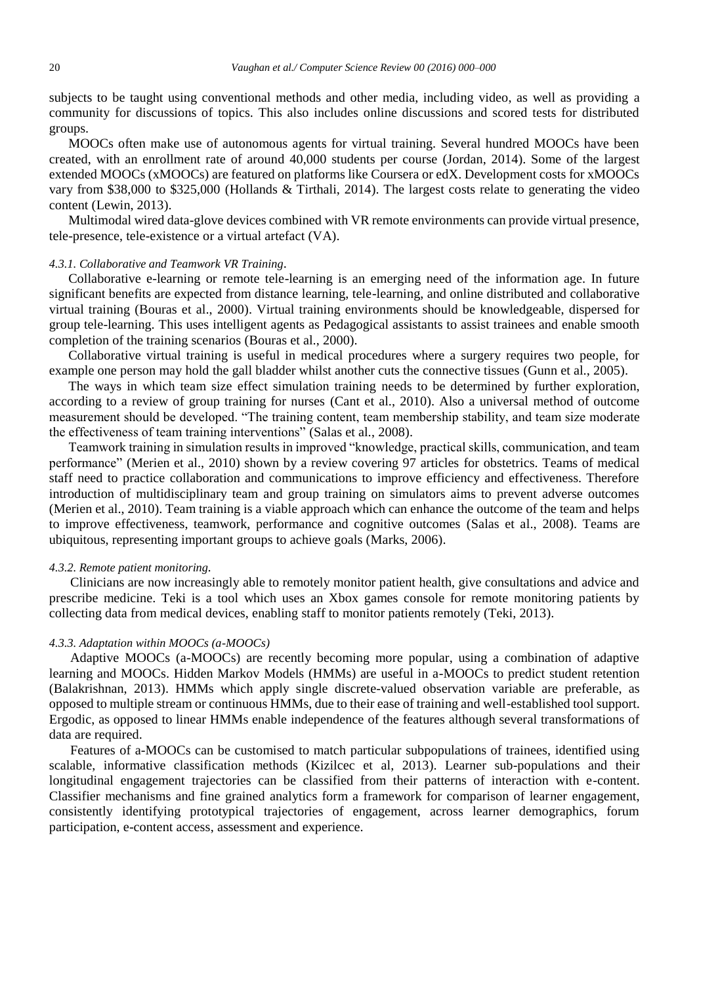subjects to be taught using conventional methods and other media, including video, as well as providing a community for discussions of topics. This also includes online discussions and scored tests for distributed groups.

MOOCs often make use of autonomous agents for virtual training. Several hundred MOOCs have been created, with an enrollment rate of around 40,000 students per course (Jordan, 2014). Some of the largest extended MOOCs (xMOOCs) are featured on platforms like Coursera or edX. Development costs for xMOOCs vary from \$38,000 to \$325,000 (Hollands & Tirthali, 2014). The largest costs relate to generating the video content (Lewin, 2013).

Multimodal wired data-glove devices combined with VR remote environments can provide virtual presence, tele-presence, tele-existence or a virtual artefact (VA).

## *4.3.1. Collaborative and Teamwork VR Training.*

Collaborative e-learning or remote tele-learning is an emerging need of the information age. In future significant benefits are expected from distance learning, tele-learning, and online distributed and collaborative virtual training (Bouras et al., 2000). Virtual training environments should be knowledgeable, dispersed for group tele-learning. This uses intelligent agents as Pedagogical assistants to assist trainees and enable smooth completion of the training scenarios (Bouras et al., 2000).

Collaborative virtual training is useful in medical procedures where a surgery requires two people, for example one person may hold the gall bladder whilst another cuts the connective tissues (Gunn et al., 2005).

The ways in which team size effect simulation training needs to be determined by further exploration, according to a review of group training for nurses (Cant et al., 2010). Also a universal method of outcome measurement should be developed. "The training content, team membership stability, and team size moderate the effectiveness of team training interventions" (Salas et al., 2008).

Teamwork training in simulation results in improved "knowledge, practical skills, communication, and team performance" (Merien et al., 2010) shown by a review covering 97 articles for obstetrics. Teams of medical staff need to practice collaboration and communications to improve efficiency and effectiveness. Therefore introduction of multidisciplinary team and group training on simulators aims to prevent adverse outcomes (Merien et al., 2010). Team training is a viable approach which can enhance the outcome of the team and helps to improve effectiveness, teamwork, performance and cognitive outcomes (Salas et al., 2008). Teams are ubiquitous, representing important groups to achieve goals (Marks, 2006).

## *4.3.2. Remote patient monitoring.*

Clinicians are now increasingly able to remotely monitor patient health, give consultations and advice and prescribe medicine. Teki is a tool which uses an Xbox games console for remote monitoring patients by collecting data from medical devices, enabling staff to monitor patients remotely (Teki, 2013).

#### *4.3.3. Adaptation within MOOCs (a-MOOCs)*

Adaptive MOOCs (a-MOOCs) are recently becoming more popular, using a combination of adaptive learning and MOOCs. Hidden Markov Models (HMMs) are useful in a-MOOCs to predict student retention (Balakrishnan, 2013). HMMs which apply single discrete-valued observation variable are preferable, as opposed to multiple stream or continuous HMMs, due to their ease of training and well-established tool support. Ergodic, as opposed to linear HMMs enable independence of the features although several transformations of data are required.

Features of a-MOOCs can be customised to match particular subpopulations of trainees, identified using scalable, informative classification methods (Kizilcec et al, 2013). Learner sub-populations and their longitudinal engagement trajectories can be classified from their patterns of interaction with e-content. Classifier mechanisms and fine grained analytics form a framework for comparison of learner engagement, consistently identifying prototypical trajectories of engagement, across learner demographics, forum participation, e-content access, assessment and experience.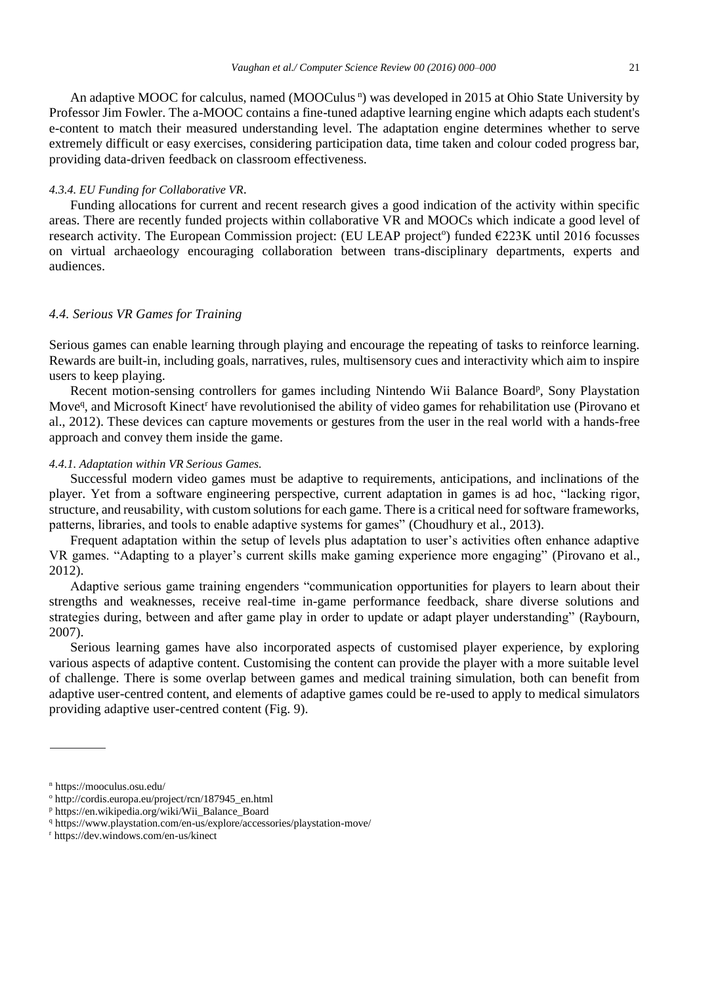An adaptive MOOC for calculus, named (MOOCulus<sup>n</sup>) was developed in 2015 at Ohio State University by Professor Jim Fowler. The a-MOOC contains a fine-tuned adaptive learning engine which adapts each student's e-content to match their measured understanding level. The adaptation engine determines whether to serve extremely difficult or easy exercises, considering participation data, time taken and colour coded progress bar, providing data-driven feedback on classroom effectiveness.

#### *4.3.4. EU Funding for Collaborative VR.*

Funding allocations for current and recent research gives a good indication of the activity within specific areas. There are recently funded projects within collaborative VR and MOOCs which indicate a good level of research activity. The European Commission project: (EU LEAP project<sup>o</sup>) funded  $\epsilon$ 223K until 2016 focusses on virtual archaeology encouraging collaboration between trans-disciplinary departments, experts and audiences.

# *4.4. Serious VR Games for Training*

Serious games can enable learning through playing and encourage the repeating of tasks to reinforce learning. Rewards are built-in, including goals, narratives, rules, multisensory cues and interactivity which aim to inspire users to keep playing.

Recent motion-sensing controllers for games including Nintendo Wii Balance Board<sup>p</sup>, Sony Playstation Move<sup>q</sup>, and Microsoft Kinect<sup>r</sup> have revolutionised the ability of video games for rehabilitation use (Pirovano et al., 2012). These devices can capture movements or gestures from the user in the real world with a hands-free approach and convey them inside the game.

## *4.4.1. Adaptation within VR Serious Games.*

Successful modern video games must be adaptive to requirements, anticipations, and inclinations of the player. Yet from a software engineering perspective, current adaptation in games is ad hoc, "lacking rigor, structure, and reusability, with custom solutions for each game. There is a critical need for software frameworks, patterns, libraries, and tools to enable adaptive systems for games" (Choudhury et al., 2013).

Frequent adaptation within the setup of levels plus adaptation to user's activities often enhance adaptive VR games. "Adapting to a player's current skills make gaming experience more engaging" (Pirovano et al., 2012).

Adaptive serious game training engenders "communication opportunities for players to learn about their strengths and weaknesses, receive real-time in-game performance feedback, share diverse solutions and strategies during, between and after game play in order to update or adapt player understanding" (Raybourn, 2007).

Serious learning games have also incorporated aspects of customised player experience, by exploring various aspects of adaptive content. Customising the content can provide the player with a more suitable level of challenge. There is some overlap between games and medical training simulation, both can benefit from adaptive user-centred content, and elements of adaptive games could be re-used to apply to medical simulators providing adaptive user-centred content (Fig. 9).

<sup>n</sup> https://mooculus.osu.edu/

<sup>o</sup> http://cordis.europa.eu/project/rcn/187945\_en.html

<sup>p</sup> https://en.wikipedia.org/wiki/Wii\_Balance\_Board

<sup>q</sup> https://www.playstation.com/en-us/explore/accessories/playstation-move/

<sup>r</sup> https://dev.windows.com/en-us/kinect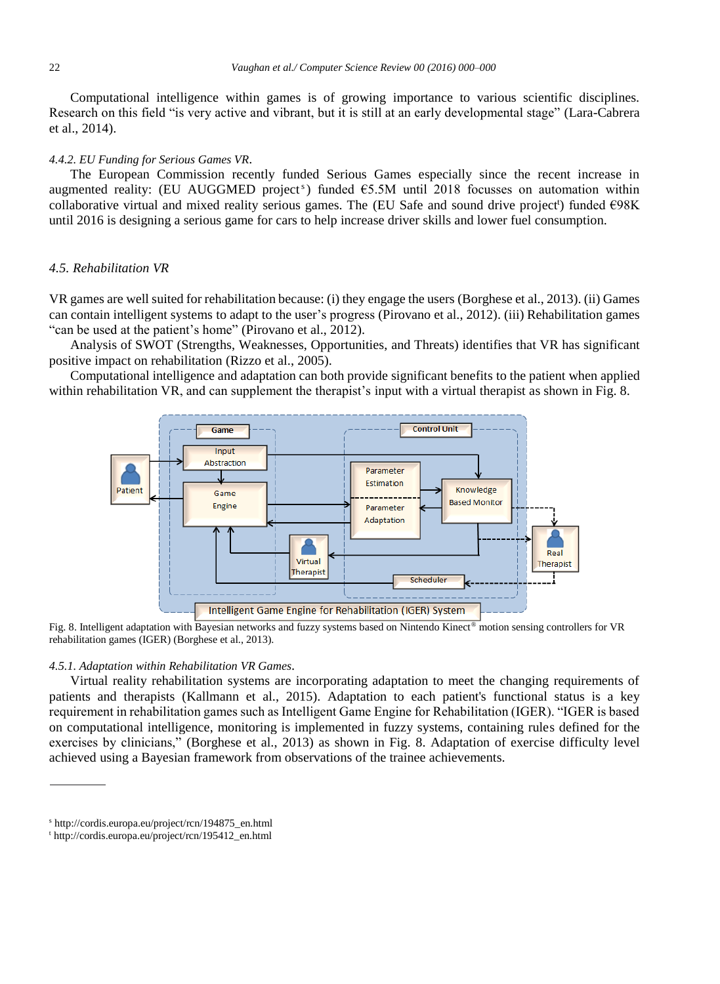Computational intelligence within games is of growing importance to various scientific disciplines. Research on this field "is very active and vibrant, but it is still at an early developmental stage" (Lara-Cabrera et al., 2014).

#### *4.4.2. EU Funding for Serious Games VR.*

The European Commission recently funded Serious Games especially since the recent increase in augmented reality: (EU AUGGMED project<sup>s</sup>) funded  $\epsilon$ 5.5M until 2018 focusses on automation within collaborative virtual and mixed reality serious games. The (EU Safe and sound drive project<sup>t</sup>) funded €98K until 2016 is designing a serious game for cars to help increase driver skills and lower fuel consumption.

# *4.5. Rehabilitation VR*

VR games are well suited for rehabilitation because: (i) they engage the users (Borghese et al., 2013). (ii) Games can contain intelligent systems to adapt to the user's progress (Pirovano et al., 2012). (iii) Rehabilitation games "can be used at the patient's home" (Pirovano et al., 2012).

Analysis of SWOT (Strengths, Weaknesses, Opportunities, and Threats) identifies that VR has significant positive impact on rehabilitation (Rizzo et al., 2005).

Computational intelligence and adaptation can both provide significant benefits to the patient when applied within rehabilitation VR, and can supplement the therapist's input with a virtual therapist as shown in Fig. 8.



Fig. 8. Intelligent adaptation with Bayesian networks and fuzzy systems based on Nintendo Kinect® motion sensing controllers for VR rehabilitation games (IGER) (Borghese et al., 2013).

## *4.5.1. Adaptation within Rehabilitation VR Games.*

Virtual reality rehabilitation systems are incorporating adaptation to meet the changing requirements of patients and therapists (Kallmann et al., 2015). Adaptation to each patient's functional status is a key requirement in rehabilitation games such as Intelligent Game Engine for Rehabilitation (IGER). "IGER is based on computational intelligence, monitoring is implemented in fuzzy systems, containing rules defined for the exercises by clinicians," (Borghese et al., 2013) as shown in Fig. 8. Adaptation of exercise difficulty level achieved using a Bayesian framework from observations of the trainee achievements.

<sup>s</sup> http://cordis.europa.eu/project/rcn/194875\_en.html

<sup>t</sup> http://cordis.europa.eu/project/rcn/195412\_en.html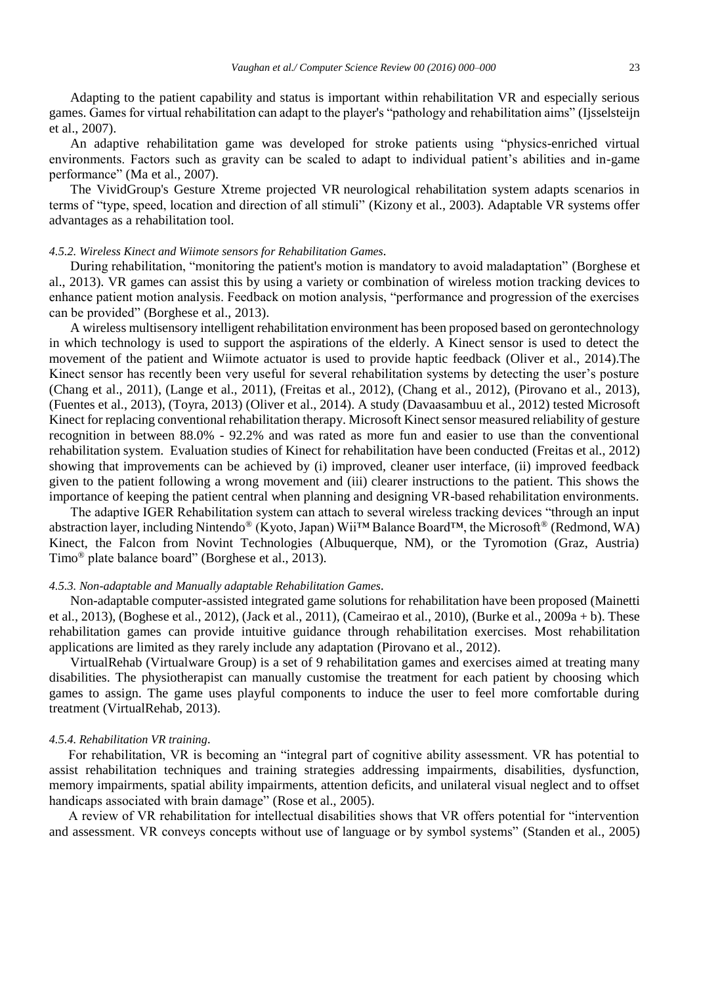Adapting to the patient capability and status is important within rehabilitation VR and especially serious games. Games for virtual rehabilitation can adapt to the player's "pathology and rehabilitation aims" (Ijsselsteijn et al., 2007).

An adaptive rehabilitation game was developed for stroke patients using "physics-enriched virtual environments. Factors such as gravity can be scaled to adapt to individual patient's abilities and in-game performance" (Ma et al., 2007).

The VividGroup's Gesture Xtreme projected VR neurological rehabilitation system adapts scenarios in terms of "type, speed, location and direction of all stimuli" (Kizony et al., 2003). Adaptable VR systems offer advantages as a rehabilitation tool.

## *4.5.2. Wireless Kinect and Wiimote sensors for Rehabilitation Games.*

During rehabilitation, "monitoring the patient's motion is mandatory to avoid maladaptation" (Borghese et al., 2013). VR games can assist this by using a variety or combination of wireless motion tracking devices to enhance patient motion analysis. Feedback on motion analysis, "performance and progression of the exercises can be provided" (Borghese et al., 2013).

A wireless multisensory intelligent rehabilitation environment has been proposed based on gerontechnology in which technology is used to support the aspirations of the elderly. A Kinect sensor is used to detect the movement of the patient and Wiimote actuator is used to provide haptic feedback (Oliver et al., 2014).The Kinect sensor has recently been very useful for several rehabilitation systems by detecting the user's posture (Chang et al., 2011), (Lange et al., 2011), (Freitas et al., 2012), (Chang et al., 2012), (Pirovano et al., 2013), (Fuentes et al., 2013), (Toyra, 2013) (Oliver et al., 2014). A study (Davaasambuu et al., 2012) tested Microsoft Kinect for replacing conventional rehabilitation therapy. Microsoft Kinect sensor measured reliability of gesture recognition in between 88.0% - 92.2% and was rated as more fun and easier to use than the conventional rehabilitation system. Evaluation studies of Kinect for rehabilitation have been conducted (Freitas et al., 2012) showing that improvements can be achieved by (i) improved, cleaner user interface, (ii) improved feedback given to the patient following a wrong movement and (iii) clearer instructions to the patient. This shows the importance of keeping the patient central when planning and designing VR-based rehabilitation environments.

The adaptive IGER Rehabilitation system can attach to several wireless tracking devices "through an input abstraction layer, including Nintendo® (Kyoto, Japan) Wii™ Balance Board™, the Microsoft® (Redmond, WA) Kinect, the Falcon from Novint Technologies (Albuquerque, NM), or the Tyromotion (Graz, Austria) Timo® plate balance board" (Borghese et al., 2013).

#### *4.5.3. Non-adaptable and Manually adaptable Rehabilitation Games.*

Non-adaptable computer-assisted integrated game solutions for rehabilitation have been proposed (Mainetti et al., 2013), (Boghese et al., 2012), (Jack et al., 2011), (Cameirao et al., 2010), (Burke et al., 2009a + b). These rehabilitation games can provide intuitive guidance through rehabilitation exercises. Most rehabilitation applications are limited as they rarely include any adaptation (Pirovano et al., 2012).

VirtualRehab (Virtualware Group) is a set of 9 rehabilitation games and exercises aimed at treating many disabilities. The physiotherapist can manually customise the treatment for each patient by choosing which games to assign. The game uses playful components to induce the user to feel more comfortable during treatment (VirtualRehab, 2013).

# *4.5.4. Rehabilitation VR training.*

For rehabilitation, VR is becoming an "integral part of cognitive ability assessment. VR has potential to assist rehabilitation techniques and training strategies addressing impairments, disabilities, dysfunction, memory impairments, spatial ability impairments, attention deficits, and unilateral visual neglect and to offset handicaps associated with brain damage" (Rose et al., 2005).

A review of VR rehabilitation for intellectual disabilities shows that VR offers potential for "intervention and assessment. VR conveys concepts without use of language or by symbol systems" (Standen et al., 2005)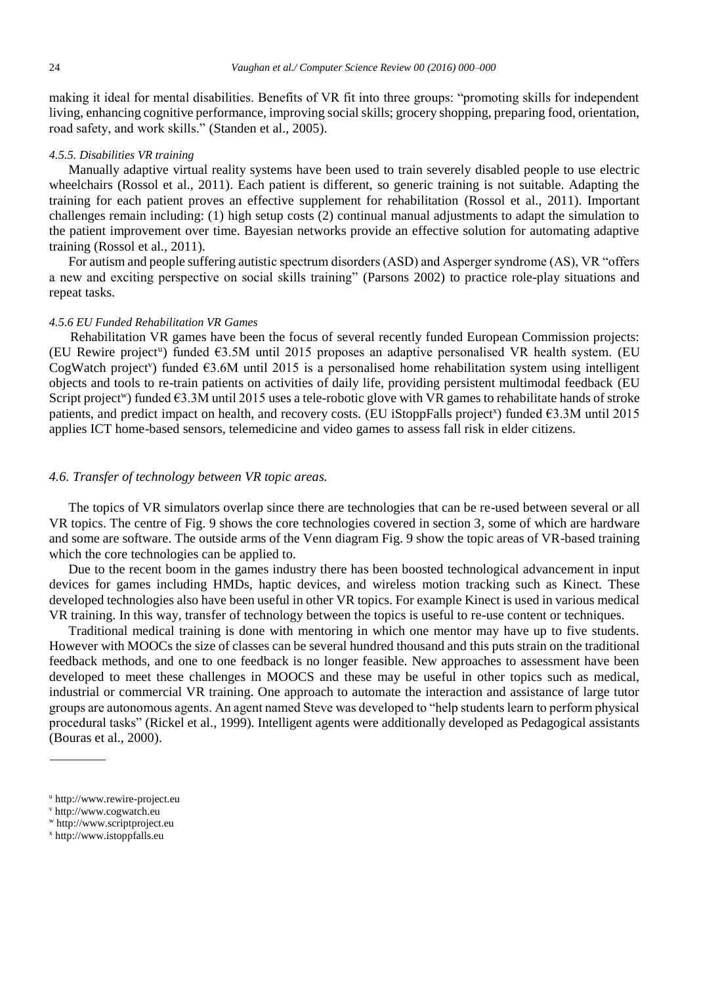making it ideal for mental disabilities. Benefits of VR fit into three groups: "promoting skills for independent living, enhancing cognitive performance, improving social skills; grocery shopping, preparing food, orientation, road safety, and work skills." (Standen et al., 2005).

## *4.5.5. Disabilities VR training*

Manually adaptive virtual reality systems have been used to train severely disabled people to use electric wheelchairs (Rossol et al., 2011). Each patient is different, so generic training is not suitable. Adapting the training for each patient proves an effective supplement for rehabilitation (Rossol et al., 2011). Important challenges remain including: (1) high setup costs (2) continual manual adjustments to adapt the simulation to the patient improvement over time. Bayesian networks provide an effective solution for automating adaptive training (Rossol et al., 2011).

For autism and people suffering autistic spectrum disorders (ASD) and Asperger syndrome (AS), VR "offers a new and exciting perspective on social skills training" (Parsons 2002) to practice role-play situations and repeat tasks.

## *4.5.6 EU Funded Rehabilitation VR Games*

Rehabilitation VR games have been the focus of several recently funded European Commission projects: (EU Rewire project<sup>u</sup>) funded  $\epsilon$ 3.5M until 2015 proposes an adaptive personalised VR health system. (EU CogWatch project<sup>v</sup>) funded  $\epsilon$ 3.6M until 2015 is a personalised home rehabilitation system using intelligent objects and tools to re-train patients on activities of daily life, providing persistent multimodal feedback (EU Script project<sup>w</sup>) funded  $63.3M$  until 2015 uses a tele-robotic glove with VR games to rehabilitate hands of stroke patients, and predict impact on health, and recovery costs. (EU iStoppFalls project<sup>x</sup>) funded €3.3M until 2015 applies ICT home-based sensors, telemedicine and video games to assess fall risk in elder citizens.

# *4.6. Transfer of technology between VR topic areas.*

The topics of VR simulators overlap since there are technologies that can be re-used between several or all VR topics. The centre of Fig. 9 shows the core technologies covered in section 3, some of which are hardware and some are software. The outside arms of the Venn diagram Fig. 9 show the topic areas of VR-based training which the core technologies can be applied to.

Due to the recent boom in the games industry there has been boosted technological advancement in input devices for games including HMDs, haptic devices, and wireless motion tracking such as Kinect. These developed technologies also have been useful in other VR topics. For example Kinect is used in various medical VR training. In this way, transfer of technology between the topics is useful to re-use content or techniques.

Traditional medical training is done with mentoring in which one mentor may have up to five students. However with MOOCs the size of classes can be several hundred thousand and this puts strain on the traditional feedback methods, and one to one feedback is no longer feasible. New approaches to assessment have been developed to meet these challenges in MOOCS and these may be useful in other topics such as medical, industrial or commercial VR training. One approach to automate the interaction and assistance of large tutor groups are autonomous agents. An agent named Steve was developed to "help students learn to perform physical procedural tasks" (Rickel et al., 1999). Intelligent agents were additionally developed as Pedagogical assistants (Bouras et al., 2000).

<sup>w</sup> http://www.scriptproject.eu

<sup>u</sup> http://www.rewire-project.eu

<sup>v</sup> http://www.cogwatch.eu

<sup>x</sup> http://www.istoppfalls.eu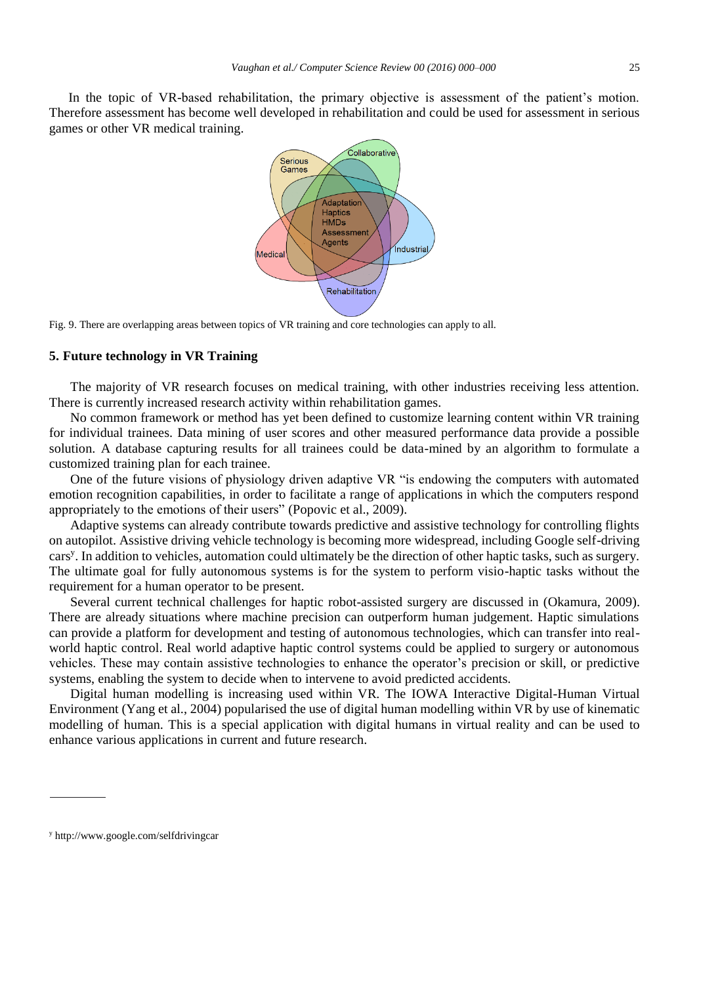In the topic of VR-based rehabilitation, the primary objective is assessment of the patient's motion. Therefore assessment has become well developed in rehabilitation and could be used for assessment in serious games or other VR medical training.



Fig. 9. There are overlapping areas between topics of VR training and core technologies can apply to all.

## **5. Future technology in VR Training**

The majority of VR research focuses on medical training, with other industries receiving less attention. There is currently increased research activity within rehabilitation games.

No common framework or method has yet been defined to customize learning content within VR training for individual trainees. Data mining of user scores and other measured performance data provide a possible solution. A database capturing results for all trainees could be data-mined by an algorithm to formulate a customized training plan for each trainee.

One of the future visions of physiology driven adaptive VR "is endowing the computers with automated emotion recognition capabilities, in order to facilitate a range of applications in which the computers respond appropriately to the emotions of their users" (Popovic et al., 2009).

Adaptive systems can already contribute towards predictive and assistive technology for controlling flights on autopilot. Assistive driving vehicle technology is becoming more widespread, including Google self-driving cars<sup>y</sup> . In addition to vehicles, automation could ultimately be the direction of other haptic tasks, such as surgery. The ultimate goal for fully autonomous systems is for the system to perform visio-haptic tasks without the requirement for a human operator to be present.

Several current technical challenges for haptic robot-assisted surgery are discussed in (Okamura, 2009). There are already situations where machine precision can outperform human judgement. Haptic simulations can provide a platform for development and testing of autonomous technologies, which can transfer into realworld haptic control. Real world adaptive haptic control systems could be applied to surgery or autonomous vehicles. These may contain assistive technologies to enhance the operator's precision or skill, or predictive systems, enabling the system to decide when to intervene to avoid predicted accidents.

Digital human modelling is increasing used within VR. The IOWA Interactive Digital-Human Virtual Environment (Yang et al., 2004) popularised the use of digital human modelling within VR by use of kinematic modelling of human. This is a special application with digital humans in virtual reality and can be used to enhance various applications in current and future research.

<sup>y</sup> http://www.google.com/selfdrivingcar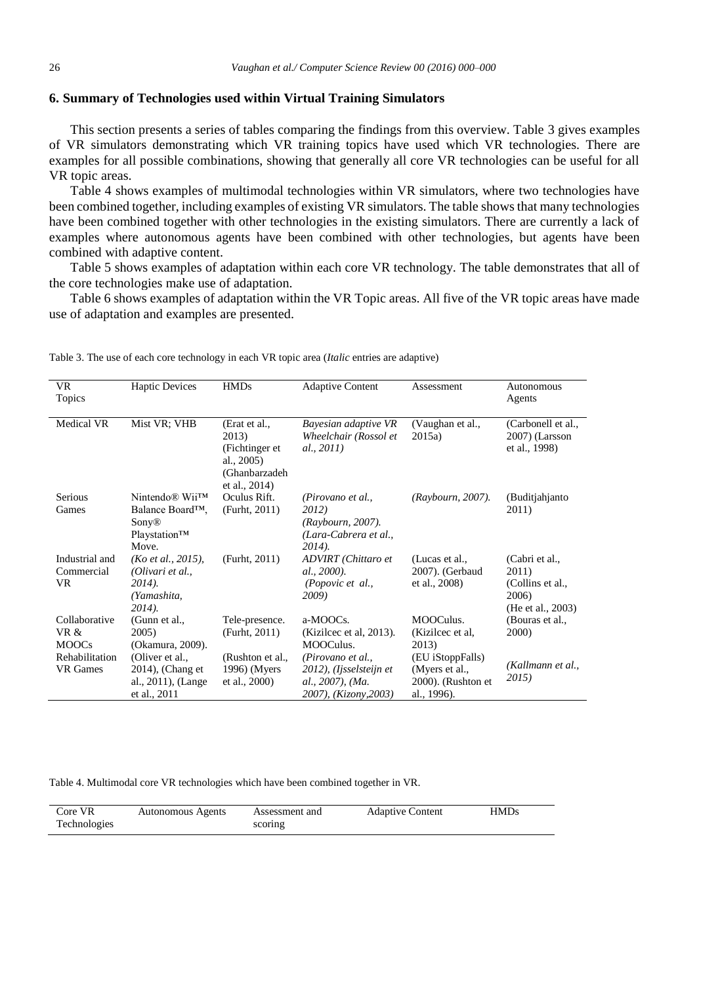## **6. Summary of Technologies used within Virtual Training Simulators**

This section presents a series of tables comparing the findings from this overview. Table 3 gives examples of VR simulators demonstrating which VR training topics have used which VR technologies. There are examples for all possible combinations, showing that generally all core VR technologies can be useful for all VR topic areas.

Table 4 shows examples of multimodal technologies within VR simulators, where two technologies have been combined together, including examples of existing VR simulators. The table shows that many technologies have been combined together with other technologies in the existing simulators. There are currently a lack of examples where autonomous agents have been combined with other technologies, but agents have been combined with adaptive content.

Table 5 shows examples of adaptation within each core VR technology. The table demonstrates that all of the core technologies make use of adaptation.

Table 6 shows examples of adaptation within the VR Topic areas. All five of the VR topic areas have made use of adaptation and examples are presented.

| <b>VR</b><br>Topics                   | <b>Haptic Devices</b>                                                                        | <b>HMDs</b>                                                                              | <b>Adaptive Content</b>                                                                   | Assessment                                                                 | Autonomous<br>Agents                                                      |
|---------------------------------------|----------------------------------------------------------------------------------------------|------------------------------------------------------------------------------------------|-------------------------------------------------------------------------------------------|----------------------------------------------------------------------------|---------------------------------------------------------------------------|
| Medical VR                            | Mist VR; VHB                                                                                 | (Erat et al.,<br>2013)<br>(Fichtinger et<br>al., 2005)<br>(Ghanbarzadeh<br>et al., 2014) | Bayesian adaptive VR<br>Wheelchair (Rossol et<br>al., 2011)                               | (Vaughan et al.,<br>2015a)                                                 | (Carbonell et al.,<br>2007) (Larsson<br>et al., 1998)                     |
| <b>Serious</b><br>Games               | Nintendo <sup>®</sup> Wii <sup>TM</sup><br>Balance Board™,<br>Sony®<br>Playstation™<br>Move. | Oculus Rift.<br>(Furht, 2011)                                                            | (Pirovano et al.,<br>2012)<br>(Raybourn, 2007).<br>(Lara-Cabrera et al.,<br>$2014$ ).     | (Raybourn, 2007).                                                          | (Buditjahjanto)<br>2011)                                                  |
| Industrial and<br>Commercial<br>VR.   | (Ko et al., 2015),<br>(Olivari et al.,<br>$2014$ ).<br>(Yamashita.<br>$2014$ ).              | (Furht, 2011)                                                                            | ADVIRT (Chittaro et<br>al., 2000).<br>(Popovic et al.,<br><b>2009</b> )                   | (Lucas et al.,<br>2007). (Gerbaud<br>et al., 2008)                         | (Cabri et al.,<br>2011)<br>(Collins et al.,<br>2006)<br>(He et al., 2003) |
| Collaborative<br>VR &<br><b>MOOCs</b> | (Gunn et al.,<br>2005)<br>(Okamura, 2009).                                                   | Tele-presence.<br>(Furht, 2011)                                                          | a-MOOCs.<br>(Kizilcec et al, 2013).<br>MOOCulus.                                          | MOOCulus.<br>(Kizilcec et al.<br>2013)                                     | (Bouras et al.,<br><b>2000</b> )                                          |
| Rehabilitation<br><b>VR</b> Games     | (Oliver et al.,<br>$2014$ ), (Chang et<br>al., 2011), (Lange<br>et al., 2011                 | (Rushton et al.,<br>1996) (Myers<br>et al., 2000)                                        | (Pirovano et al.,<br>2012), (Ijsselsteijn et<br>al., 2007), (Ma.<br>2007), (Kizony, 2003) | (EU iStoppFalls)<br>(Myers et al.,<br>$2000$ ). (Rushton et<br>al., 1996). | (Kallmann et al.,<br>2015)                                                |

Table 3. The use of each core technology in each VR topic area (*Italic* entries are adaptive)

Table 4. Multimodal core VR technologies which have been combined together in VR.

| Core VR      | <b>Autonomous Agents</b> | Assessment and | <b>Adaptive Content</b> | HMDs |
|--------------|--------------------------|----------------|-------------------------|------|
| Technologies |                          | scoring        |                         |      |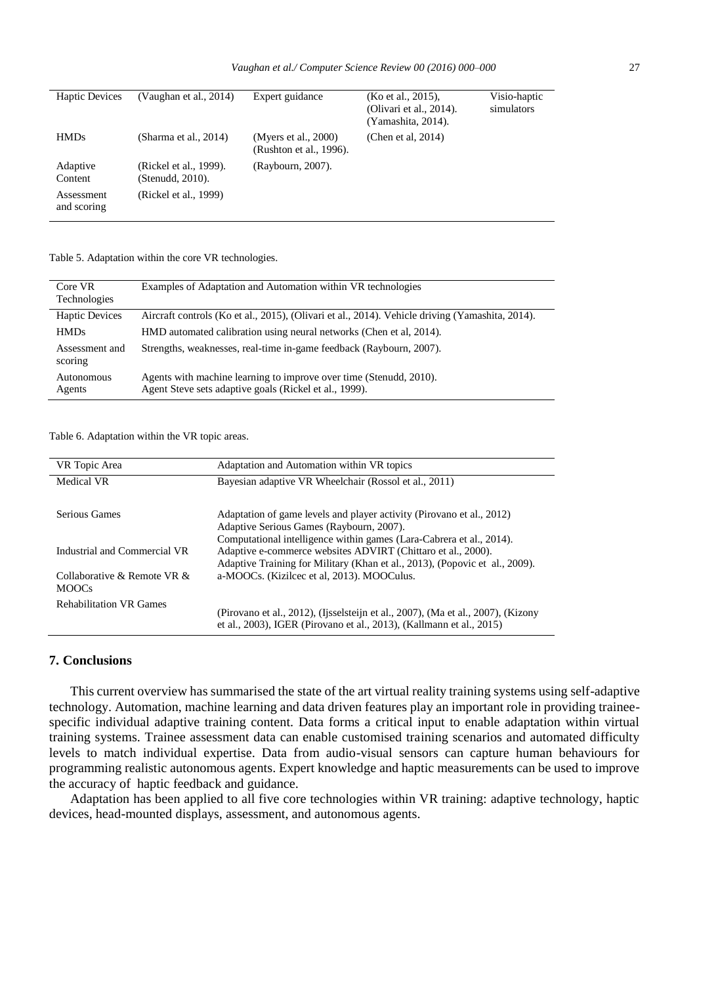| <b>Haptic Devices</b>     | (Vaughan et al., $2014$ )                  | Expert guidance                                 | (Ko et al., 2015).<br>(Olivari et al., 2014).<br>(Yamashita, 2014). | Visio-haptic<br>simulators |
|---------------------------|--------------------------------------------|-------------------------------------------------|---------------------------------------------------------------------|----------------------------|
| <b>HMDs</b>               | (Sharma et al., 2014)                      | (Myers et al., 2000)<br>(Rushton et al., 1996). | (Chen et al, $2014$ )                                               |                            |
| Adaptive<br>Content       | (Rickel et al., 1999).<br>(Stenudd, 2010). | (Raybourn, 2007).                               |                                                                     |                            |
| Assessment<br>and scoring | (Rickel et al., 1999)                      |                                                 |                                                                     |                            |

Table 5. Adaptation within the core VR technologies.

| Core VR<br>Technologies   | Examples of Adaptation and Automation within VR technologies                                                                 |
|---------------------------|------------------------------------------------------------------------------------------------------------------------------|
| <b>Haptic Devices</b>     | Aircraft controls (Ko et al., 2015), (Olivari et al., 2014). Vehicle driving (Yamashita, 2014).                              |
| <b>HMDs</b>               | HMD automated calibration using neural networks (Chen et al. 2014).                                                          |
| Assessment and<br>scoring | Strengths, weaknesses, real-time in-game feedback (Raybourn, 2007).                                                          |
| Autonomous<br>Agents      | Agents with machine learning to improve over time (Stenudd, 2010).<br>Agent Steve sets adaptive goals (Rickel et al., 1999). |

Table 6. Adaptation within the VR topic areas.

| VR Topic Area                               | Adaptation and Automation within VR topics                                                                                                                                                |
|---------------------------------------------|-------------------------------------------------------------------------------------------------------------------------------------------------------------------------------------------|
| Medical VR                                  | Bayesian adaptive VR Wheelchair (Rossol et al., 2011)                                                                                                                                     |
| Serious Games                               | Adaptation of game levels and player activity (Pirovano et al., 2012)<br>Adaptive Serious Games (Raybourn, 2007).<br>Computational intelligence within games (Lara-Cabrera et al., 2014). |
| Industrial and Commercial VR                | Adaptive e-commerce websites ADVIRT (Chittaro et al., 2000).<br>Adaptive Training for Military (Khan et al., 2013), (Popovic et al., 2009).                                               |
| Collaborative & Remote VR &<br><b>MOOCs</b> | a-MOOCs. (Kizilcec et al, 2013). MOOCulus.                                                                                                                                                |
| <b>Rehabilitation VR Games</b>              | (Pirovano et al., 2012), (Ijsselsteijn et al., 2007), (Ma et al., 2007), (Kizony<br>et al., 2003), IGER (Pirovano et al., 2013), (Kallmann et al., 2015)                                  |

# **7. Conclusions**

This current overview has summarised the state of the art virtual reality training systems using self-adaptive technology. Automation, machine learning and data driven features play an important role in providing traineespecific individual adaptive training content. Data forms a critical input to enable adaptation within virtual training systems. Trainee assessment data can enable customised training scenarios and automated difficulty levels to match individual expertise. Data from audio-visual sensors can capture human behaviours for programming realistic autonomous agents. Expert knowledge and haptic measurements can be used to improve the accuracy of haptic feedback and guidance.

Adaptation has been applied to all five core technologies within VR training: adaptive technology, haptic devices, head-mounted displays, assessment, and autonomous agents.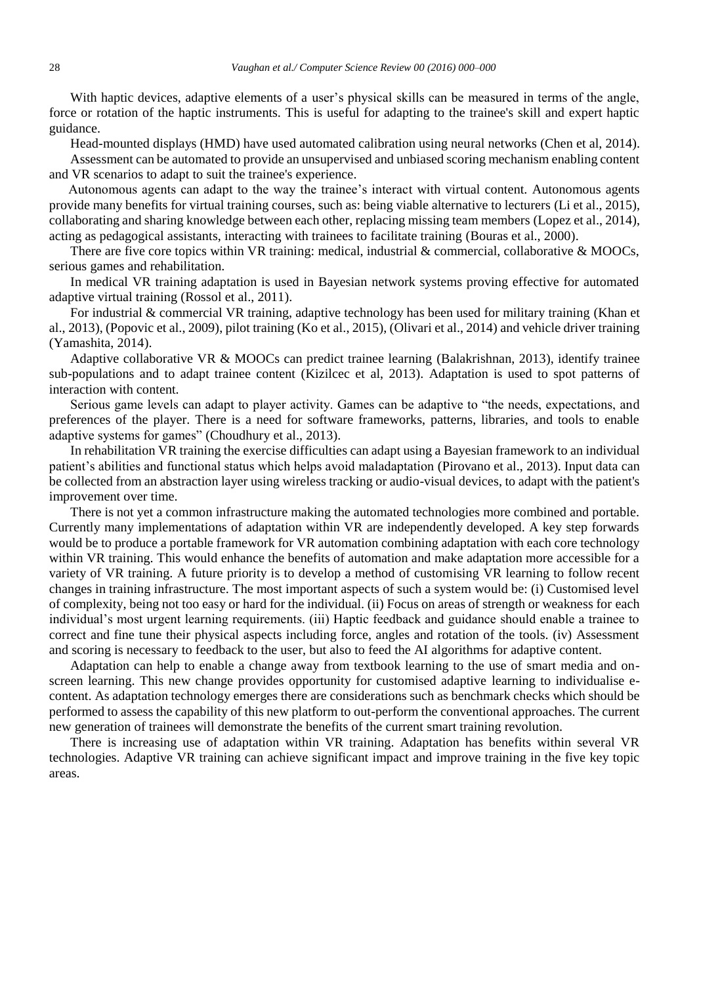With haptic devices, adaptive elements of a user's physical skills can be measured in terms of the angle, force or rotation of the haptic instruments. This is useful for adapting to the trainee's skill and expert haptic guidance.

Head-mounted displays (HMD) have used automated calibration using neural networks (Chen et al, 2014). Assessment can be automated to provide an unsupervised and unbiased scoring mechanism enabling content and VR scenarios to adapt to suit the trainee's experience.

Autonomous agents can adapt to the way the trainee's interact with virtual content. Autonomous agents provide many benefits for virtual training courses, such as: being viable alternative to lecturers (Li et al., 2015), collaborating and sharing knowledge between each other, replacing missing team members (Lopez et al., 2014), acting as pedagogical assistants, interacting with trainees to facilitate training (Bouras et al., 2000).

There are five core topics within VR training: medical, industrial  $\&$  commercial, collaborative  $\&$  MOOCs, serious games and rehabilitation.

In medical VR training adaptation is used in Bayesian network systems proving effective for automated adaptive virtual training (Rossol et al., 2011).

For industrial & commercial VR training, adaptive technology has been used for military training (Khan et al., 2013), (Popovic et al., 2009), pilot training (Ko et al., 2015), (Olivari et al., 2014) and vehicle driver training (Yamashita, 2014).

Adaptive collaborative VR & MOOCs can predict trainee learning (Balakrishnan, 2013), identify trainee sub-populations and to adapt trainee content (Kizilcec et al, 2013). Adaptation is used to spot patterns of interaction with content.

Serious game levels can adapt to player activity. Games can be adaptive to "the needs, expectations, and preferences of the player. There is a need for software frameworks, patterns, libraries, and tools to enable adaptive systems for games" (Choudhury et al., 2013).

In rehabilitation VR training the exercise difficulties can adapt using a Bayesian framework to an individual patient's abilities and functional status which helps avoid maladaptation (Pirovano et al., 2013). Input data can be collected from an abstraction layer using wireless tracking or audio-visual devices, to adapt with the patient's improvement over time.

There is not yet a common infrastructure making the automated technologies more combined and portable. Currently many implementations of adaptation within VR are independently developed. A key step forwards would be to produce a portable framework for VR automation combining adaptation with each core technology within VR training. This would enhance the benefits of automation and make adaptation more accessible for a variety of VR training. A future priority is to develop a method of customising VR learning to follow recent changes in training infrastructure. The most important aspects of such a system would be: (i) Customised level of complexity, being not too easy or hard for the individual. (ii) Focus on areas of strength or weakness for each individual's most urgent learning requirements. (iii) Haptic feedback and guidance should enable a trainee to correct and fine tune their physical aspects including force, angles and rotation of the tools. (iv) Assessment and scoring is necessary to feedback to the user, but also to feed the AI algorithms for adaptive content.

Adaptation can help to enable a change away from textbook learning to the use of smart media and onscreen learning. This new change provides opportunity for customised adaptive learning to individualise econtent. As adaptation technology emerges there are considerations such as benchmark checks which should be performed to assess the capability of this new platform to out-perform the conventional approaches. The current new generation of trainees will demonstrate the benefits of the current smart training revolution.

There is increasing use of adaptation within VR training. Adaptation has benefits within several VR technologies. Adaptive VR training can achieve significant impact and improve training in the five key topic areas.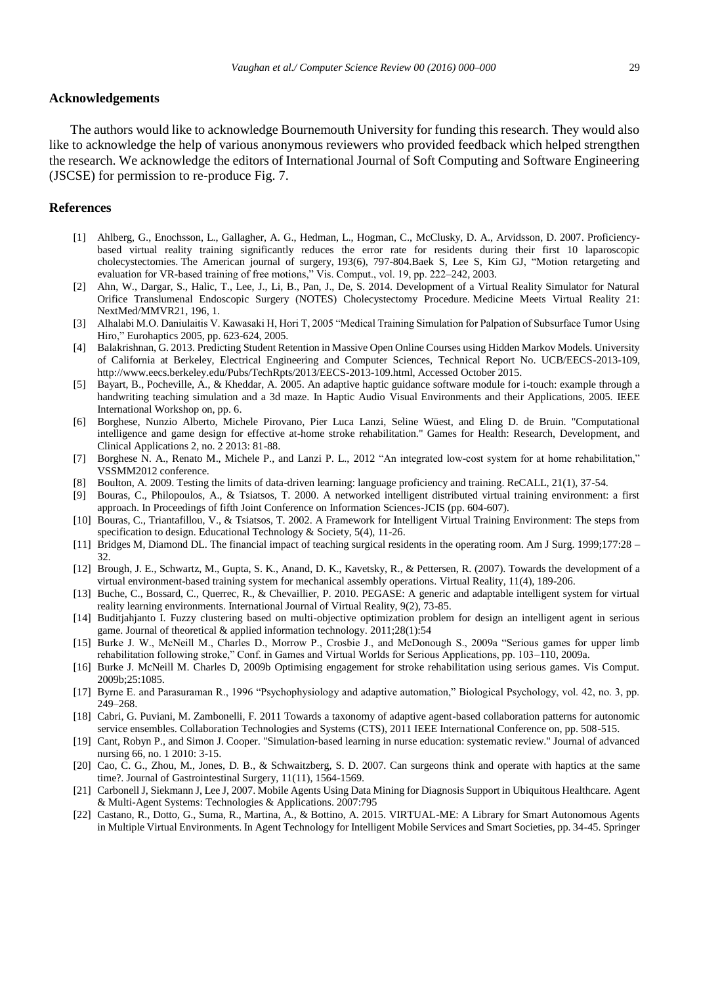#### **Acknowledgements**

The authors would like to acknowledge Bournemouth University for funding this research. They would also like to acknowledge the help of various anonymous reviewers who provided feedback which helped strengthen the research. We acknowledge the editors of International Journal of Soft Computing and Software Engineering (JSCSE) for permission to re-produce Fig. 7.

## **References**

- [1] Ahlberg, G., Enochsson, L., Gallagher, A. G., Hedman, L., Hogman, C., McClusky, D. A., Arvidsson, D. 2007. Proficiencybased virtual reality training significantly reduces the error rate for residents during their first 10 laparoscopic cholecystectomies. The American journal of surgery, 193(6), 797-804.Baek S, Lee S, Kim GJ, "Motion retargeting and evaluation for VR-based training of free motions," Vis. Comput., vol. 19, pp. 222–242, 2003.
- [2] Ahn, W., Dargar, S., Halic, T., Lee, J., Li, B., Pan, J., De, S. 2014. Development of a Virtual Reality Simulator for Natural Orifice Translumenal Endoscopic Surgery (NOTES) Cholecystectomy Procedure. Medicine Meets Virtual Reality 21: NextMed/MMVR21, 196, 1.
- [3] Alhalabi M.O. Daniulaitis V. Kawasaki H, Hori T, 2005 "Medical Training Simulation for Palpation of Subsurface Tumor Using Hiro," Eurohaptics 2005, pp. 623-624, 2005.
- [4] Balakrishnan, G. 2013. Predicting Student Retention in Massive Open Online Courses using Hidden Markov Models. University of California at Berkeley, Electrical Engineering and Computer Sciences, Technical Report No. UCB/EECS-2013-109, http://www.eecs.berkeley.edu/Pubs/TechRpts/2013/EECS-2013-109.html, Accessed October 2015.
- [5] Bayart, B., Pocheville, A., & Kheddar, A. 2005. An adaptive haptic guidance software module for i-touch: example through a handwriting teaching simulation and a 3d maze. In Haptic Audio Visual Environments and their Applications, 2005. IEEE International Workshop on, pp. 6.
- [6] Borghese, Nunzio Alberto, Michele Pirovano, Pier Luca Lanzi, Seline Wüest, and Eling D. de Bruin. "Computational intelligence and game design for effective at-home stroke rehabilitation." Games for Health: Research, Development, and Clinical Applications 2, no. 2 2013: 81-88.
- [7] Borghese N. A., Renato M., Michele P., and Lanzi P. L., 2012 "An integrated low-cost system for at home rehabilitation," VSSMM2012 conference.
- [8] Boulton, A. 2009. Testing the limits of data-driven learning: language proficiency and training. ReCALL, 21(1), 37-54.
- [9] Bouras, C., Philopoulos, A., & Tsiatsos, T. 2000. A networked intelligent distributed virtual training environment: a first approach. In Proceedings of fifth Joint Conference on Information Sciences-JCIS (pp. 604-607).
- [10] Bouras, C., Triantafillou, V., & Tsiatsos, T. 2002. A Framework for Intelligent Virtual Training Environment: The steps from specification to design. Educational Technology & Society, 5(4), 11-26.
- [11] Bridges M, Diamond DL. The financial impact of teaching surgical residents in the operating room. Am J Surg. 1999;177:28 32.
- [12] Brough, J. E., Schwartz, M., Gupta, S. K., Anand, D. K., Kavetsky, R., & Pettersen, R. (2007). Towards the development of a virtual environment-based training system for mechanical assembly operations. Virtual Reality, 11(4), 189-206.
- [13] Buche, C., Bossard, C., Querrec, R., & Chevaillier, P. 2010. PEGASE: A generic and adaptable intelligent system for virtual reality learning environments. International Journal of Virtual Reality, 9(2), 73-85.
- [14] Buditjahjanto I. Fuzzy clustering based on multi-objective optimization problem for design an intelligent agent in serious game. Journal of theoretical & applied information technology. 2011;28(1):54
- [15] Burke J. W., McNeill M., Charles D., Morrow P., Crosbie J., and McDonough S., 2009a "Serious games for upper limb rehabilitation following stroke," Conf. in Games and Virtual Worlds for Serious Applications, pp. 103–110, 2009a.
- [16] Burke J. McNeill M. Charles D, 2009b Optimising engagement for stroke rehabilitation using serious games. Vis Comput. 2009b;25:1085.
- [17] Byrne E. and Parasuraman R., 1996 "Psychophysiology and adaptive automation," Biological Psychology, vol. 42, no. 3, pp. 249–268.
- [18] Cabri, G. Puviani, M. Zambonelli, F. 2011 Towards a taxonomy of adaptive agent-based collaboration patterns for autonomic service ensembles. Collaboration Technologies and Systems (CTS), 2011 IEEE International Conference on, pp. 508-515.
- [19] Cant, Robyn P., and Simon J. Cooper. "Simulation‐based learning in nurse education: systematic review." Journal of advanced nursing 66, no. 1 2010: 3-15.
- [20] Cao, C. G., Zhou, M., Jones, D. B., & Schwaitzberg, S. D. 2007. Can surgeons think and operate with haptics at the same time?. Journal of Gastrointestinal Surgery, 11(11), 1564-1569.
- [21] Carbonell J, Siekmann J, Lee J, 2007. Mobile Agents Using Data Mining for Diagnosis Support in Ubiquitous Healthcare. Agent & Multi-Agent Systems: Technologies & Applications. 2007:795
- [22] Castano, R., Dotto, G., Suma, R., Martina, A., & Bottino, A. 2015. VIRTUAL-ME: A Library for Smart Autonomous Agents in Multiple Virtual Environments. In Agent Technology for Intelligent Mobile Services and Smart Societies, pp. 34-45. Springer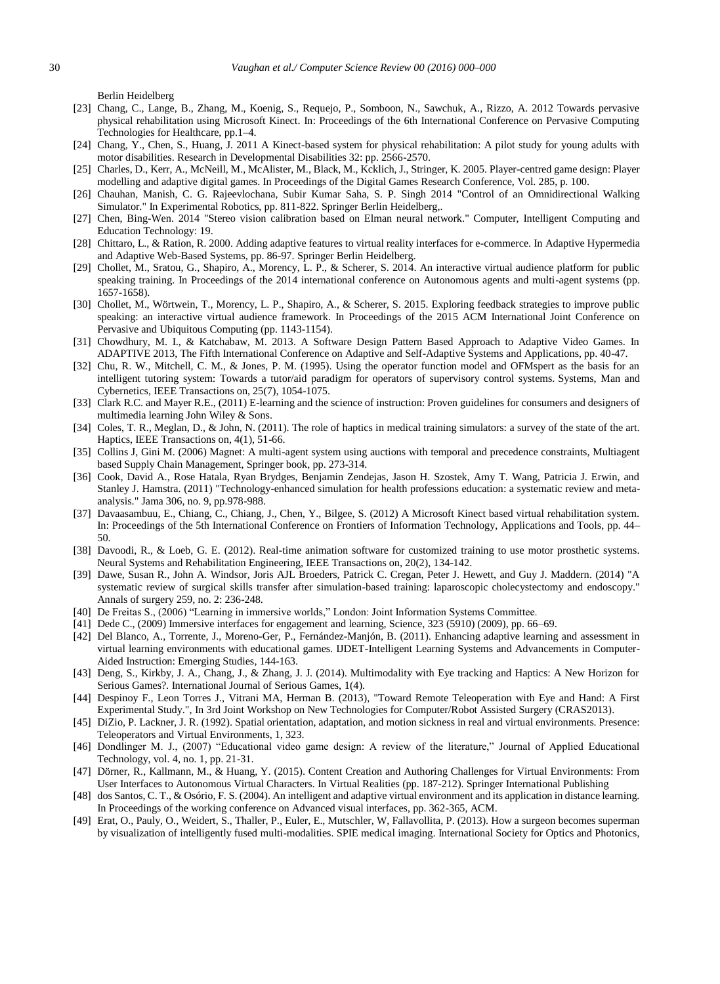Berlin Heidelberg

- [23] Chang, C., Lange, B., Zhang, M., Koenig, S., Requejo, P., Somboon, N., Sawchuk, A., Rizzo, A. 2012 Towards pervasive physical rehabilitation using Microsoft Kinect. In: Proceedings of the 6th International Conference on Pervasive Computing Technologies for Healthcare, pp.1–4.
- [24] Chang, Y., Chen, S., Huang, J. 2011 A Kinect-based system for physical rehabilitation: A pilot study for young adults with motor disabilities. Research in Developmental Disabilities 32: pp. 2566-2570.
- [25] Charles, D., Kerr, A., McNeill, M., McAlister, M., Black, M., Kcklich, J., Stringer, K. 2005. Player-centred game design: Player modelling and adaptive digital games. In Proceedings of the Digital Games Research Conference, Vol. 285, p. 100.
- [26] Chauhan, Manish, C. G. Rajeevlochana, Subir Kumar Saha, S. P. Singh 2014 "Control of an Omnidirectional Walking Simulator." In Experimental Robotics, pp. 811-822. Springer Berlin Heidelberg,.
- [27] Chen, Bing-Wen. 2014 "Stereo vision calibration based on Elman neural network." Computer, Intelligent Computing and Education Technology: 19.
- [28] Chittaro, L., & Ration, R. 2000. Adding adaptive features to virtual reality interfaces for e-commerce. In Adaptive Hypermedia and Adaptive Web-Based Systems, pp. 86-97. Springer Berlin Heidelberg.
- [29] Chollet, M., Sratou, G., Shapiro, A., Morency, L. P., & Scherer, S. 2014. An interactive virtual audience platform for public speaking training. In Proceedings of the 2014 international conference on Autonomous agents and multi-agent systems (pp. 1657-1658).
- [30] Chollet, M., Wörtwein, T., Morency, L. P., Shapiro, A., & Scherer, S. 2015. Exploring feedback strategies to improve public speaking: an interactive virtual audience framework. In Proceedings of the 2015 ACM International Joint Conference on Pervasive and Ubiquitous Computing (pp. 1143-1154).
- [31] Chowdhury, M. I., & Katchabaw, M. 2013. A Software Design Pattern Based Approach to Adaptive Video Games. In ADAPTIVE 2013, The Fifth International Conference on Adaptive and Self-Adaptive Systems and Applications, pp. 40-47.
- [32] Chu, R. W., Mitchell, C. M., & Jones, P. M. (1995). Using the operator function model and OFMspert as the basis for an intelligent tutoring system: Towards a tutor/aid paradigm for operators of supervisory control systems. Systems, Man and Cybernetics, IEEE Transactions on, 25(7), 1054-1075.
- [33] Clark R.C. and Mayer R.E., (2011) E-learning and the science of instruction: Proven guidelines for consumers and designers of multimedia learning John Wiley & Sons.
- [34] Coles, T. R., Meglan, D., & John, N. (2011). The role of haptics in medical training simulators: a survey of the state of the art. Haptics, IEEE Transactions on, 4(1), 51-66.
- [35] Collins J, Gini M. (2006) Magnet: A multi-agent system using auctions with temporal and precedence constraints, Multiagent based Supply Chain Management, Springer book, pp. 273-314.
- [36] Cook, David A., Rose Hatala, Ryan Brydges, Benjamin Zendejas, Jason H. Szostek, Amy T. Wang, Patricia J. Erwin, and Stanley J. Hamstra. (2011) "Technology-enhanced simulation for health professions education: a systematic review and metaanalysis." Jama 306, no. 9, pp.978-988.
- [37] Davaasambuu, E., Chiang, C., Chiang, J., Chen, Y., Bilgee, S. (2012) A Microsoft Kinect based virtual rehabilitation system. In: Proceedings of the 5th International Conference on Frontiers of Information Technology, Applications and Tools, pp. 44– 50.
- [38] Davoodi, R., & Loeb, G. E. (2012). Real-time animation software for customized training to use motor prosthetic systems. Neural Systems and Rehabilitation Engineering, IEEE Transactions on, 20(2), 134-142.
- [39] Dawe, Susan R., John A. Windsor, Joris AJL Broeders, Patrick C. Cregan, Peter J. Hewett, and Guy J. Maddern. (2014) "A systematic review of surgical skills transfer after simulation-based training: laparoscopic cholecystectomy and endoscopy." Annals of surgery 259, no. 2: 236-248.
- [40] De Freitas S., (2006) "Learning in immersive worlds," London: Joint Information Systems Committee.
- [41] Dede C., (2009) Immersive interfaces for engagement and learning, Science, 323 (5910) (2009), pp. 66–69.
- [42] Del Blanco, A., Torrente, J., Moreno-Ger, P., Fernández-Manjón, B. (2011). Enhancing adaptive learning and assessment in virtual learning environments with educational games. IJDET-Intelligent Learning Systems and Advancements in Computer-Aided Instruction: Emerging Studies, 144-163.
- [43] Deng, S., Kirkby, J. A., Chang, J., & Zhang, J. J. (2014). Multimodality with Eye tracking and Haptics: A New Horizon for Serious Games?. International Journal of Serious Games, 1(4).
- [44] Despinoy F., Leon Torres J., Vitrani MA, Herman B. (2013), "Toward Remote Teleoperation with Eye and Hand: A First Experimental Study.", In 3rd Joint Workshop on New Technologies for Computer/Robot Assisted Surgery (CRAS2013).
- [45] DiZio, P. Lackner, J. R. (1992). Spatial orientation, adaptation, and motion sickness in real and virtual environments. Presence: Teleoperators and Virtual Environments, 1, 323.
- [46] Dondlinger M. J., (2007) "Educational video game design: A review of the literature," Journal of Applied Educational Technology, vol. 4, no. 1, pp. 21-31.
- [47] Dörner, R., Kallmann, M., & Huang, Y. (2015). Content Creation and Authoring Challenges for Virtual Environments: From User Interfaces to Autonomous Virtual Characters. In Virtual Realities (pp. 187-212). Springer International Publishing
- [48] dos Santos, C. T., & Osório, F. S. (2004). An intelligent and adaptive virtual environment and its application in distance learning. In Proceedings of the working conference on Advanced visual interfaces, pp. 362-365, ACM.
- [49] Erat, O., Pauly, O., Weidert, S., Thaller, P., Euler, E., Mutschler, W, Fallavollita, P. (2013). How a surgeon becomes superman by visualization of intelligently fused multi-modalities. SPIE medical imaging. International Society for Optics and Photonics,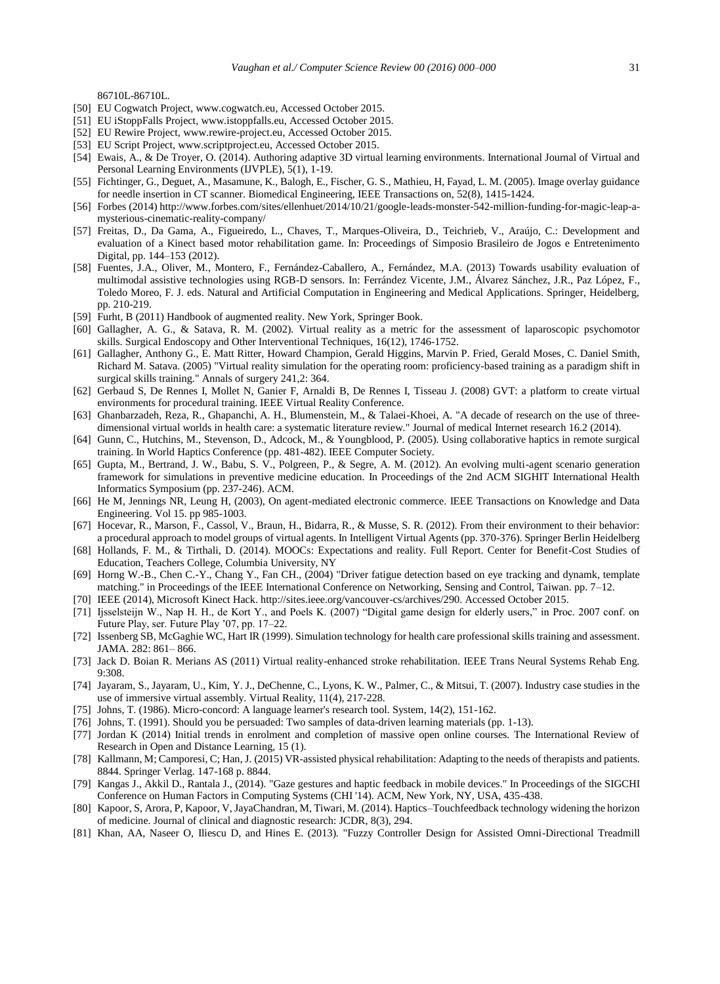86710L-86710L.

- [50] EU Cogwatch Project, www.cogwatch.eu, Accessed October 2015.
- [51] EU iStoppFalls Project, www.istoppfalls.eu, Accessed October 2015.
- [52] EU Rewire Project, www.rewire-project.eu, Accessed October 2015.
- [53] EU Script Project, www.scriptproject.eu, Accessed October 2015.
- [54] Ewais, A., & De Troyer, O. (2014). Authoring adaptive 3D virtual learning environments. International Journal of Virtual and Personal Learning Environments (IJVPLE), 5(1), 1-19.
- [55] Fichtinger, G., Deguet, A., Masamune, K., Balogh, E., Fischer, G. S., Mathieu, H, Fayad, L. M. (2005). Image overlay guidance for needle insertion in CT scanner. Biomedical Engineering, IEEE Transactions on, 52(8), 1415-1424.
- [56] Forbes (2014) http://www.forbes.com/sites/ellenhuet/2014/10/21/google-leads-monster-542-million-funding-for-magic-leap-amysterious-cinematic-reality-company/
- [57] Freitas, D., Da Gama, A., Figueiredo, L., Chaves, T., Marques-Oliveira, D., Teichrieb, V., Araújo, C.: Development and evaluation of a Kinect based motor rehabilitation game. In: Proceedings of Simposio Brasileiro de Jogos e Entretenimento Digital, pp. 144–153 (2012).
- [58] Fuentes, J.A., Oliver, M., Montero, F., Fernández-Caballero, A., Fernández, M.A. (2013) Towards usability evaluation of multimodal assistive technologies using RGB-D sensors. In: Ferrández Vicente, J.M., Álvarez Sánchez, J.R., Paz López, F., Toledo Moreo, F. J. eds. Natural and Artificial Computation in Engineering and Medical Applications. Springer, Heidelberg, pp. 210-219.
- [59] Furht, B (2011) Handbook of augmented reality. New York, Springer Book.
- [60] Gallagher, A. G., & Satava, R. M. (2002). Virtual reality as a metric for the assessment of laparoscopic psychomotor skills. Surgical Endoscopy and Other Interventional Techniques, 16(12), 1746-1752.
- [61] Gallagher, Anthony G., E. Matt Ritter, Howard Champion, Gerald Higgins, Marvin P. Fried, Gerald Moses, C. Daniel Smith, Richard M. Satava. (2005) "Virtual reality simulation for the operating room: proficiency-based training as a paradigm shift in surgical skills training." Annals of surgery 241,2: 364.
- [62] Gerbaud S, De Rennes I, Mollet N, Ganier F, Arnaldi B, De Rennes I, Tisseau J. (2008) GVT: a platform to create virtual environments for procedural training. IEEE Virtual Reality Conference.
- [63] Ghanbarzadeh, Reza, R., Ghapanchi, A. H., Blumenstein, M., & Talaei-Khoei, A. "A decade of research on the use of threedimensional virtual worlds in health care: a systematic literature review." Journal of medical Internet research 16.2 (2014).
- [64] Gunn, C., Hutchins, M., Stevenson, D., Adcock, M., & Youngblood, P. (2005). Using collaborative haptics in remote surgical training. In World Haptics Conference (pp. 481-482). IEEE Computer Society.
- [65] Gupta, M., Bertrand, J. W., Babu, S. V., Polgreen, P., & Segre, A. M. (2012). An evolving multi-agent scenario generation framework for simulations in preventive medicine education. In Proceedings of the 2nd ACM SIGHIT International Health Informatics Symposium (pp. 237-246). ACM.
- [66] He M, Jennings NR, Leung H, (2003), On agent-mediated electronic commerce. IEEE Transactions on Knowledge and Data Engineering. Vol 15. pp 985-1003.
- [67] Hocevar, R., Marson, F., Cassol, V., Braun, H., Bidarra, R., & Musse, S. R. (2012). From their environment to their behavior: a procedural approach to model groups of virtual agents. In Intelligent Virtual Agents (pp. 370-376). Springer Berlin Heidelberg
- [68] Hollands, F. M., & Tirthali, D. (2014). MOOCs: Expectations and reality. Full Report. Center for Benefit-Cost Studies of Education, Teachers College, Columbia University, NY
- [69] Horng W.-B., Chen C.-Y., Chang Y., Fan CH., (2004) "Driver fatigue detection based on eye tracking and dynamk, template matching." in Proceedings of the IEEE International Conference on Networking, Sensing and Control, Taiwan. pp. 7–12.
- [70] IEEE (2014), Microsoft Kinect Hack. http://sites.ieee.org/vancouver-cs/archives/290. Accessed October 2015.
- [71] Ijsselsteijn W., Nap H. H., de Kort Y., and Poels K. (2007) "Digital game design for elderly users," in Proc. 2007 conf. on Future Play, ser. Future Play '07, pp. 17–22.
- [72] Issenberg SB, McGaghie WC, Hart IR (1999). Simulation technology for health care professional skills training and assessment. JAMA. 282: 861– 866.
- [73] Jack D. Boian R. Merians AS (2011) Virtual reality-enhanced stroke rehabilitation. IEEE Trans Neural Systems Rehab Eng. 9:308.
- [74] Jayaram, S., Jayaram, U., Kim, Y. J., DeChenne, C., Lyons, K. W., Palmer, C., & Mitsui, T. (2007). Industry case studies in the use of immersive virtual assembly. Virtual Reality, 11(4), 217-228.
- [75] Johns, T. (1986). Micro-concord: A language learner's research tool. System, 14(2), 151-162.
- [76] Johns, T. (1991). Should you be persuaded: Two samples of data-driven learning materials (pp. 1-13).
- [77] Jordan K (2014) Initial trends in enrolment and completion of massive open online courses. The International Review of Research in Open and Distance Learning, 15 (1).
- [78] Kallmann, M; Camporesi, C; Han, J. (2015) VR-assisted physical rehabilitation: Adapting to the needs of therapists and patients. 8844. Springer Verlag. 147-168 p. 8844.
- [79] Kangas J., Akkil D., Rantala J., (2014). "Gaze gestures and haptic feedback in mobile devices." In Proceedings of the SIGCHI Conference on Human Factors in Computing Systems (CHI '14). ACM, New York, NY, USA, 435-438.
- [80] Kapoor, S, Arora, P, Kapoor, V, JayaChandran, M, Tiwari, M. (2014). Haptics–Touchfeedback technology widening the horizon of medicine. Journal of clinical and diagnostic research: JCDR, 8(3), 294.
- [81] Khan, AA, Naseer O, Iliescu D, and Hines E. (2013). "Fuzzy Controller Design for Assisted Omni-Directional Treadmill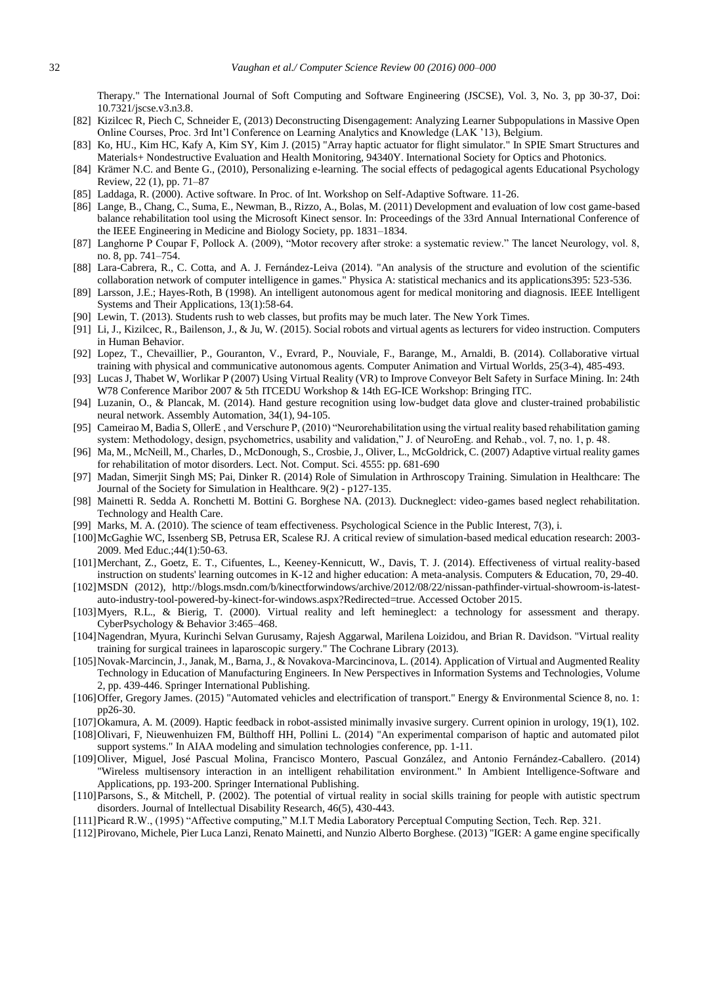Therapy." The International Journal of Soft Computing and Software Engineering (JSCSE), Vol. 3, No. 3, pp 30-37, Doi: 10.7321/jscse.v3.n3.8.

- [82] Kizilcec R, Piech C, Schneider E, (2013) Deconstructing Disengagement: Analyzing Learner Subpopulations in Massive Open Online Courses, Proc. 3rd Int'l Conference on Learning Analytics and Knowledge (LAK '13), Belgium.
- [83] Ko, HU., Kim HC, Kafy A, Kim SY, Kim J. (2015) "Array haptic actuator for flight simulator." In SPIE Smart Structures and Materials+ Nondestructive Evaluation and Health Monitoring, 94340Y. International Society for Optics and Photonics.
- [84] Krämer N.C. and Bente G., (2010), Personalizing e-learning. The social effects of pedagogical agents Educational Psychology Review, 22 (1), pp. 71–87
- [85] Laddaga, R. (2000). Active software. In Proc. of Int. Workshop on Self-Adaptive Software. 11-26.
- [86] Lange, B., Chang, C., Suma, E., Newman, B., Rizzo, A., Bolas, M. (2011) Development and evaluation of low cost game-based balance rehabilitation tool using the Microsoft Kinect sensor. In: Proceedings of the 33rd Annual International Conference of the IEEE Engineering in Medicine and Biology Society, pp. 1831–1834.
- [87] Langhorne P Coupar F, Pollock A. (2009), "Motor recovery after stroke: a systematic review." The lancet Neurology, vol. 8, no. 8, pp. 741–754.
- [88] Lara-Cabrera, R., C. Cotta, and A. J. Fernández-Leiva (2014). "An analysis of the structure and evolution of the scientific collaboration network of computer intelligence in games." Physica A: statistical mechanics and its applications395: 523-536.
- [89] Larsson, J.E.; Hayes-Roth, B (1998). An intelligent autonomous agent for medical monitoring and diagnosis. IEEE Intelligent Systems and Their Applications, 13(1):58-64.
- [90] Lewin, T. (2013). Students rush to web classes, but profits may be much later. The New York Times.
- [91] Li, J., Kizilcec, R., Bailenson, J., & Ju, W. (2015). Social robots and virtual agents as lecturers for video instruction. Computers in Human Behavior.
- [92] Lopez, T., Chevaillier, P., Gouranton, V., Evrard, P., Nouviale, F., Barange, M., Arnaldi, B. (2014). Collaborative virtual training with physical and communicative autonomous agents. Computer Animation and Virtual Worlds, 25(3-4), 485-493.
- [93] Lucas J, Thabet W, Worlikar P (2007) Using Virtual Reality (VR) to Improve Conveyor Belt Safety in Surface Mining. In: 24th W78 Conference Maribor 2007 & 5th ITCEDU Workshop & 14th EG-ICE Workshop: Bringing ITC.
- [94] Luzanin, O., & Plancak, M. (2014). Hand gesture recognition using low-budget data glove and cluster-trained probabilistic neural network. Assembly Automation, 34(1), 94-105.
- [95] Cameirao M, Badia S, OllerE , and Verschure P, (2010) "Neurorehabilitation using the virtual reality based rehabilitation gaming system: Methodology, design, psychometrics, usability and validation," J. of NeuroEng. and Rehab., vol. 7, no. 1, p. 48.
- [96] Ma, M., McNeill, M., Charles, D., McDonough, S., Crosbie, J., Oliver, L., McGoldrick, C. (2007) Adaptive virtual reality games for rehabilitation of motor disorders. Lect. Not. Comput. Sci. 4555: pp. 681-690
- [97] Madan, Simerjit Singh MS; Pai, Dinker R. (2014) Role of Simulation in Arthroscopy Training. Simulation in Healthcare: The Journal of the Society for Simulation in Healthcare. 9(2) - p127-135.
- [98] Mainetti R. Sedda A. Ronchetti M. Bottini G. Borghese NA. (2013). Duckneglect: video-games based neglect rehabilitation. Technology and Health Care.
- [99] Marks, M. A. (2010). The science of team effectiveness. Psychological Science in the Public Interest, 7(3), i.
- [100]McGaghie WC, Issenberg SB, Petrusa ER, Scalese RJ. A critical review of simulation-based medical education research: 2003- 2009. Med Educ.;44(1):50-63.
- [101]Merchant, Z., Goetz, E. T., Cifuentes, L., Keeney-Kennicutt, W., Davis, T. J. (2014). Effectiveness of virtual reality-based instruction on students' learning outcomes in K-12 and higher education: A meta-analysis. Computers & Education, 70, 29-40.
- [102]MSDN (2012), http://blogs.msdn.com/b/kinectforwindows/archive/2012/08/22/nissan-pathfinder-virtual-showroom-is-latestauto-industry-tool-powered-by-kinect-for-windows.aspx?Redirected=true. Accessed October 2015.
- [103]Myers, R.L., & Bierig, T. (2000). Virtual reality and left hemineglect: a technology for assessment and therapy. CyberPsychology & Behavior 3:465–468.
- [104]Nagendran, Myura, Kurinchi Selvan Gurusamy, Rajesh Aggarwal, Marilena Loizidou, and Brian R. Davidson. "Virtual reality training for surgical trainees in laparoscopic surgery." The Cochrane Library (2013).
- [105]Novak-Marcincin, J., Janak, M., Barna, J., & Novakova-Marcincinova, L. (2014). Application of Virtual and Augmented Reality Technology in Education of Manufacturing Engineers. In New Perspectives in Information Systems and Technologies, Volume 2, pp. 439-446. Springer International Publishing.
- [106]Offer, Gregory James. (2015) "Automated vehicles and electrification of transport." Energy & Environmental Science 8, no. 1: pp26-30.
- [107]Okamura, A. M. (2009). Haptic feedback in robot-assisted minimally invasive surgery. Current opinion in urology, 19(1), 102.
- [108]Olivari, F, Nieuwenhuizen FM, Bülthoff HH, Pollini L. (2014) "An experimental comparison of haptic and automated pilot support systems." In AIAA modeling and simulation technologies conference, pp. 1-11.
- [109]Oliver, Miguel, José Pascual Molina, Francisco Montero, Pascual González, and Antonio Fernández-Caballero. (2014) "Wireless multisensory interaction in an intelligent rehabilitation environment." In Ambient Intelligence-Software and Applications, pp. 193-200. Springer International Publishing.
- [110]Parsons, S., & Mitchell, P. (2002). The potential of virtual reality in social skills training for people with autistic spectrum disorders. Journal of Intellectual Disability Research, 46(5), 430-443.
- [111]Picard R.W., (1995) "Affective computing," M.I.T Media Laboratory Perceptual Computing Section, Tech. Rep. 321.
- [112]Pirovano, Michele, Pier Luca Lanzi, Renato Mainetti, and Nunzio Alberto Borghese. (2013) "IGER: A game engine specifically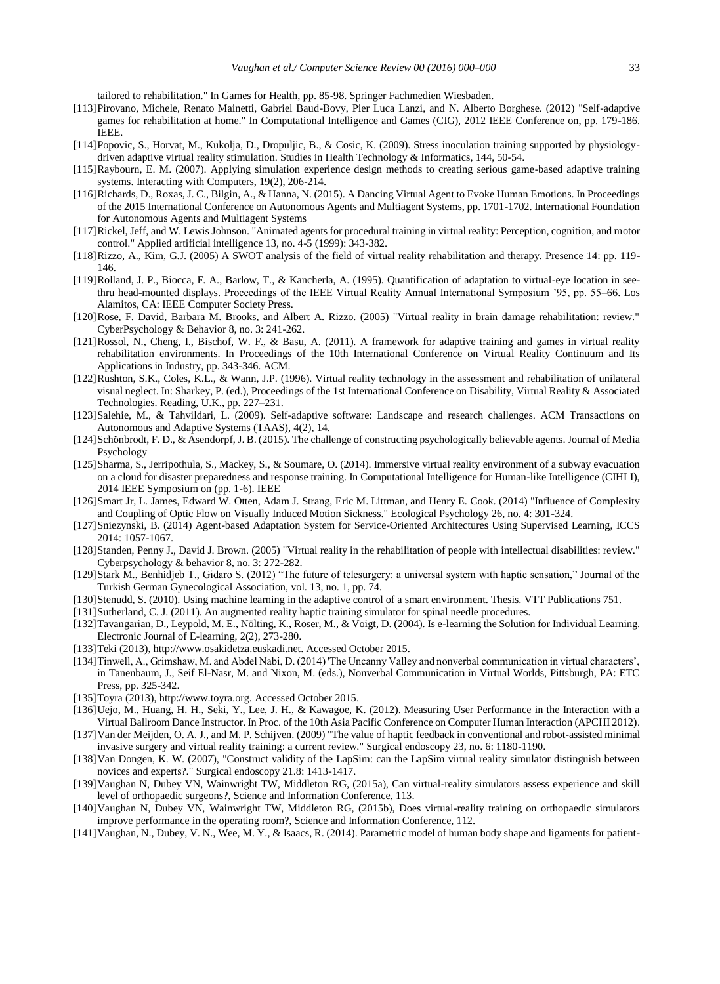tailored to rehabilitation." In Games for Health, pp. 85-98. Springer Fachmedien Wiesbaden.

- [113]Pirovano, Michele, Renato Mainetti, Gabriel Baud-Bovy, Pier Luca Lanzi, and N. Alberto Borghese. (2012) "Self-adaptive games for rehabilitation at home." In Computational Intelligence and Games (CIG), 2012 IEEE Conference on, pp. 179-186. IEEE.
- [114]Popovic, S., Horvat, M., Kukolja, D., Dropuljic, B., & Cosic, K. (2009). Stress inoculation training supported by physiologydriven adaptive virtual reality stimulation. Studies in Health Technology & Informatics, 144, 50-54.
- [115]Raybourn, E. M. (2007). Applying simulation experience design methods to creating serious game-based adaptive training systems. Interacting with Computers, 19(2), 206-214.
- [116]Richards, D., Roxas, J. C., Bilgin, A., & Hanna, N. (2015). A Dancing Virtual Agent to Evoke Human Emotions. In Proceedings of the 2015 International Conference on Autonomous Agents and Multiagent Systems, pp. 1701-1702. International Foundation for Autonomous Agents and Multiagent Systems
- [117]Rickel, Jeff, and W. Lewis Johnson. "Animated agents for procedural training in virtual reality: Perception, cognition, and motor control." Applied artificial intelligence 13, no. 4-5 (1999): 343-382.
- [118]Rizzo, A., Kim, G.J. (2005) A SWOT analysis of the field of virtual reality rehabilitation and therapy. Presence 14: pp. 119- 146.
- [119]Rolland, J. P., Biocca, F. A., Barlow, T., & Kancherla, A. (1995). Quantification of adaptation to virtual-eye location in seethru head-mounted displays. Proceedings of the IEEE Virtual Reality Annual International Symposium '95, pp. 55–66. Los Alamitos, CA: IEEE Computer Society Press.
- [120]Rose, F. David, Barbara M. Brooks, and Albert A. Rizzo. (2005) "Virtual reality in brain damage rehabilitation: review." CyberPsychology & Behavior 8, no. 3: 241-262.
- [121]Rossol, N., Cheng, I., Bischof, W. F., & Basu, A. (2011). A framework for adaptive training and games in virtual reality rehabilitation environments. In Proceedings of the 10th International Conference on Virtual Reality Continuum and Its Applications in Industry, pp. 343-346. ACM.
- [122]Rushton, S.K., Coles, K.L., & Wann, J.P. (1996). Virtual reality technology in the assessment and rehabilitation of unilateral visual neglect. In: Sharkey, P. (ed.), Proceedings of the 1st International Conference on Disability, Virtual Reality & Associated Technologies. Reading, U.K., pp. 227–231.
- [123]Salehie, M., & Tahvildari, L. (2009). Self-adaptive software: Landscape and research challenges. ACM Transactions on Autonomous and Adaptive Systems (TAAS), 4(2), 14.
- [124]Schönbrodt, F. D., & Asendorpf, J. B. (2015). The challenge of constructing psychologically believable agents. Journal of Media Psychology
- [125]Sharma, S., Jerripothula, S., Mackey, S., & Soumare, O. (2014). Immersive virtual reality environment of a subway evacuation on a cloud for disaster preparedness and response training. In Computational Intelligence for Human-like Intelligence (CIHLI), 2014 IEEE Symposium on (pp. 1-6). IEEE
- [126]Smart Jr, L. James, Edward W. Otten, Adam J. Strang, Eric M. Littman, and Henry E. Cook. (2014) "Influence of Complexity and Coupling of Optic Flow on Visually Induced Motion Sickness." Ecological Psychology 26, no. 4: 301-324.
- [127]Sniezynski, B. (2014) Agent-based Adaptation System for Service-Oriented Architectures Using Supervised Learning, ICCS 2014: 1057-1067.
- [128]Standen, Penny J., David J. Brown. (2005) "Virtual reality in the rehabilitation of people with intellectual disabilities: review." Cyberpsychology & behavior 8, no. 3: 272-282.
- [129]Stark M., Benhidjeb T., Gidaro S. (2012) "The future of telesurgery: a universal system with haptic sensation," Journal of the Turkish German Gynecological Association, vol. 13, no. 1, pp. 74.
- [130]Stenudd, S. (2010). Using machine learning in the adaptive control of a smart environment. Thesis. VTT Publications 751.
- [131]Sutherland, C. J. (2011). An augmented reality haptic training simulator for spinal needle procedures.
- [132]Tavangarian, D., Leypold, M. E., Nölting, K., Röser, M., & Voigt, D. (2004). Is e-learning the Solution for Individual Learning. Electronic Journal of E-learning, 2(2), 273-280.
- [133]Teki (2013), http://www.osakidetza.euskadi.net. Accessed October 2015.
- [134]Tinwell, A., Grimshaw, M. and Abdel Nabi, D. (2014) 'The Uncanny Valley and nonverbal communication in virtual characters', in Tanenbaum, J., Seif El-Nasr, M. and Nixon, M. (eds.), Nonverbal Communication in Virtual Worlds, Pittsburgh, PA: ETC Press, pp. 325-342.
- [135]Toyra (2013), http://www.toyra.org. Accessed October 2015.
- [136]Uejo, M., Huang, H. H., Seki, Y., Lee, J. H., & Kawagoe, K. (2012). Measuring User Performance in the Interaction with a Virtual Ballroom Dance Instructor. In Proc. of the 10th Asia Pacific Conference on Computer Human Interaction (APCHI 2012).
- [137]Van der Meijden, O. A. J., and M. P. Schijven. (2009) "The value of haptic feedback in conventional and robot-assisted minimal invasive surgery and virtual reality training: a current review." Surgical endoscopy 23, no. 6: 1180-1190.
- [138]Van Dongen, K. W. (2007), "Construct validity of the LapSim: can the LapSim virtual reality simulator distinguish between novices and experts?." Surgical endoscopy 21.8: 1413-1417.
- [139]Vaughan N, Dubey VN, Wainwright TW, Middleton RG, (2015a), Can virtual-reality simulators assess experience and skill level of orthopaedic surgeons?, Science and Information Conference, 113.
- [140]Vaughan N, Dubey VN, Wainwright TW, Middleton RG, (2015b), Does virtual-reality training on orthopaedic simulators improve performance in the operating room?, Science and Information Conference, 112.
- [141]Vaughan, N., Dubey, V. N., Wee, M. Y., & Isaacs, R. (2014). Parametric model of human body shape and ligaments for patient-